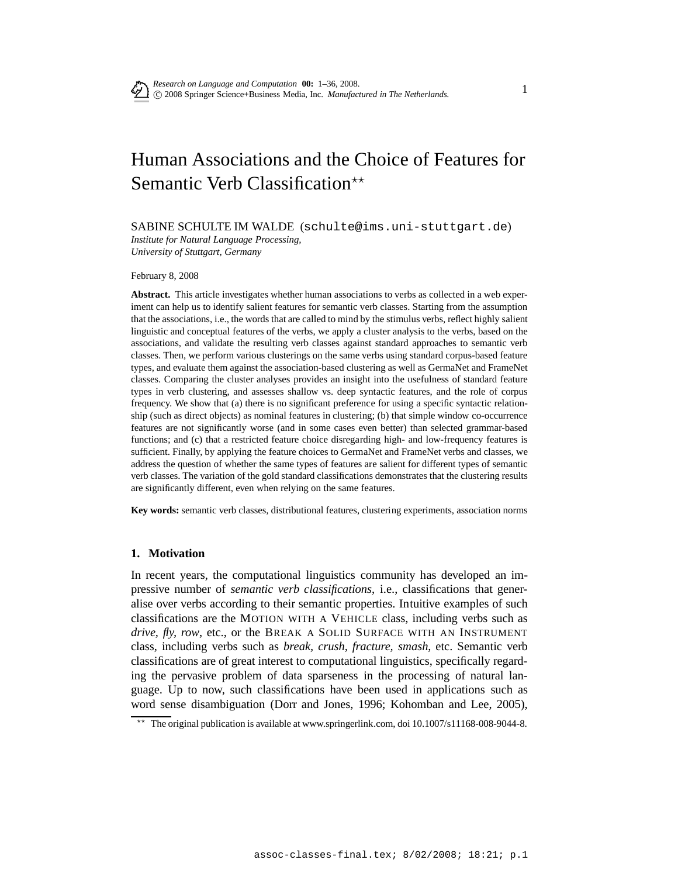# Human Associations and the Choice of Features for Semantic Verb Classification<sup>\*\*</sup>

SABINE SCHULTE IM WALDE (schulte@ims.uni-stuttgart.de) *Institute for Natural Language Processing,*

*University of Stuttgart, Germany*

February 8, 2008

**Abstract.** This article investigates whether human associations to verbs as collected in a web experiment can help us to identify salient features for semantic verb classes. Starting from the assumption that the associations, i.e., the words that are called to mind by the stimulus verbs, reflect highly salient linguistic and conceptual features of the verbs, we apply a cluster analysis to the verbs, based on the associations, and validate the resulting verb classes against standard approaches to semantic verb classes. Then, we perform various clusterings on the same verbs using standard corpus-based feature types, and evaluate them against the association-based clustering as well as GermaNet and FrameNet classes. Comparing the cluster analyses provides an insight into the usefulness of standard feature types in verb clustering, and assesses shallow vs. deep syntactic features, and the role of corpus frequency. We show that (a) there is no significant preference for using a specific syntactic relationship (such as direct objects) as nominal features in clustering; (b) that simple window co-occurrence features are not significantly worse (and in some cases even better) than selected grammar-based functions; and (c) that a restricted feature choice disregarding high- and low-frequency features is sufficient. Finally, by applying the feature choices to GermaNet and FrameNet verbs and classes, we address the question of whether the same types of features are salient for different types of semantic verb classes. The variation of the gold standard classifications demonstrates that the clustering results are significantly different, even when relying on the same features.

**Key words:** semantic verb classes, distributional features, clustering experiments, association norms

## **1. Motivation**

In recent years, the computational linguistics community has developed an impressive number of *semantic verb classifications*, i.e., classifications that generalise over verbs according to their semantic properties. Intuitive examples of such classifications are the MOTION WITH A VEHICLE class, including verbs such as *drive, fly, row*, etc., or the BREAK A SOLID SURFACE WITH AN INSTRUMENT class, including verbs such as *break, crush, fracture, smash*, etc. Semantic verb classifications are of great interest to computational linguistics, specifically regarding the pervasive problem of data sparseness in the processing of natural language. Up to now, such classifications have been used in applications such as word sense disambiguation (Dorr and Jones, 1996; Kohomban and Lee, 2005),

<sup>&</sup>lt;sup>\*\*</sup> The original publication is available at www.springerlink.com, doi 10.1007/s11168-008-9044-8.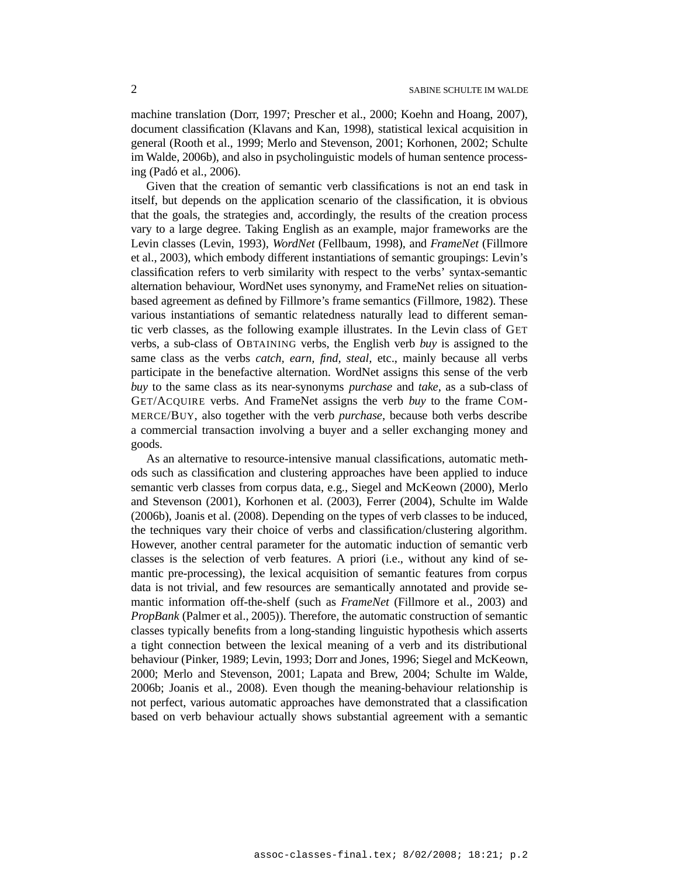machine translation (Dorr, 1997; Prescher et al., 2000; Koehn and Hoang, 2007), document classification (Klavans and Kan, 1998), statistical lexical acquisition in general (Rooth et al., 1999; Merlo and Stevenson, 2001; Korhonen, 2002; Schulte im Walde, 2006b), and also in psycholinguistic models of human sentence processing (Padó et al., 2006).

Given that the creation of semantic verb classifications is not an end task in itself, but depends on the application scenario of the classification, it is obvious that the goals, the strategies and, accordingly, the results of the creation process vary to a large degree. Taking English as an example, major frameworks are the Levin classes (Levin, 1993), *WordNet* (Fellbaum, 1998), and *FrameNet* (Fillmore et al., 2003), which embody different instantiations of semantic groupings: Levin's classification refers to verb similarity with respect to the verbs' syntax-semantic alternation behaviour, WordNet uses synonymy, and FrameNet relies on situationbased agreement as defined by Fillmore's frame semantics (Fillmore, 1982). These various instantiations of semantic relatedness naturally lead to different semantic verb classes, as the following example illustrates. In the Levin class of GET verbs, a sub-class of OBTAINING verbs, the English verb *buy* is assigned to the same class as the verbs *catch, earn, find, steal,* etc., mainly because all verbs participate in the benefactive alternation. WordNet assigns this sense of the verb *buy* to the same class as its near-synonyms *purchase* and *take*, as a sub-class of GET/ACQUIRE verbs. And FrameNet assigns the verb *buy* to the frame COM-MERCE/BUY, also together with the verb *purchase*, because both verbs describe a commercial transaction involving a buyer and a seller exchanging money and goods.

As an alternative to resource-intensive manual classifications, automatic methods such as classification and clustering approaches have been applied to induce semantic verb classes from corpus data, e.g., Siegel and McKeown (2000), Merlo and Stevenson (2001), Korhonen et al. (2003), Ferrer (2004), Schulte im Walde (2006b), Joanis et al. (2008). Depending on the types of verb classes to be induced, the techniques vary their choice of verbs and classification/clustering algorithm. However, another central parameter for the automatic induction of semantic verb classes is the selection of verb features. A priori (i.e., without any kind of semantic pre-processing), the lexical acquisition of semantic features from corpus data is not trivial, and few resources are semantically annotated and provide semantic information off-the-shelf (such as *FrameNet* (Fillmore et al., 2003) and *PropBank* (Palmer et al., 2005)). Therefore, the automatic construction of semantic classes typically benefits from a long-standing linguistic hypothesis which asserts a tight connection between the lexical meaning of a verb and its distributional behaviour (Pinker, 1989; Levin, 1993; Dorr and Jones, 1996; Siegel and McKeown, 2000; Merlo and Stevenson, 2001; Lapata and Brew, 2004; Schulte im Walde, 2006b; Joanis et al., 2008). Even though the meaning-behaviour relationship is not perfect, various automatic approaches have demonstrated that a classification based on verb behaviour actually shows substantial agreement with a semantic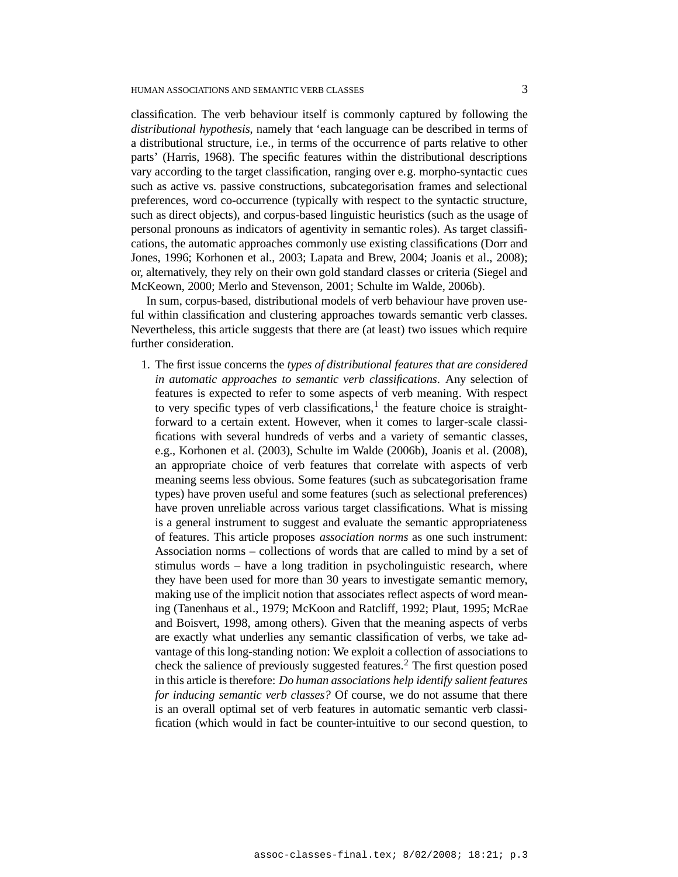classification. The verb behaviour itself is commonly captured by following the *distributional hypothesis*, namely that 'each language can be described in terms of a distributional structure, i.e., in terms of the occurrence of parts relative to other parts' (Harris, 1968). The specific features within the distributional descriptions vary according to the target classification, ranging over e.g. morpho-syntactic cues such as active vs. passive constructions, subcategorisation frames and selectional preferences, word co-occurrence (typically with respect to the syntactic structure, such as direct objects), and corpus-based linguistic heuristics (such as the usage of personal pronouns as indicators of agentivity in semantic roles). As target classifications, the automatic approaches commonly use existing classifications (Dorr and Jones, 1996; Korhonen et al., 2003; Lapata and Brew, 2004; Joanis et al., 2008); or, alternatively, they rely on their own gold standard classes or criteria (Siegel and McKeown, 2000; Merlo and Stevenson, 2001; Schulte im Walde, 2006b).

In sum, corpus-based, distributional models of verb behaviour have proven useful within classification and clustering approaches towards semantic verb classes. Nevertheless, this article suggests that there are (at least) two issues which require further consideration.

1. The first issue concerns the *types of distributional features that are considered in automatic approaches to semantic verb classifications*. Any selection of features is expected to refer to some aspects of verb meaning. With respect to very specific types of verb classifications,<sup>1</sup> the feature choice is straightforward to a certain extent. However, when it comes to larger-scale classifications with several hundreds of verbs and a variety of semantic classes, e.g., Korhonen et al. (2003), Schulte im Walde (2006b), Joanis et al. (2008), an appropriate choice of verb features that correlate with aspects of verb meaning seems less obvious. Some features (such as subcategorisation frame types) have proven useful and some features (such as selectional preferences) have proven unreliable across various target classifications. What is missing is a general instrument to suggest and evaluate the semantic appropriateness of features. This article proposes *association norms* as one such instrument: Association norms – collections of words that are called to mind by a set of stimulus words – have a long tradition in psycholinguistic research, where they have been used for more than 30 years to investigate semantic memory, making use of the implicit notion that associates reflect aspects of word meaning (Tanenhaus et al., 1979; McKoon and Ratcliff, 1992; Plaut, 1995; McRae and Boisvert, 1998, among others). Given that the meaning aspects of verbs are exactly what underlies any semantic classification of verbs, we take advantage of this long-standing notion: We exploit a collection of associations to check the salience of previously suggested features.<sup>2</sup> The first question posed in this article is therefore: *Do human associations help identify salient features for inducing semantic verb classes?* Of course, we do not assume that there is an overall optimal set of verb features in automatic semantic verb classification (which would in fact be counter-intuitive to our second question, to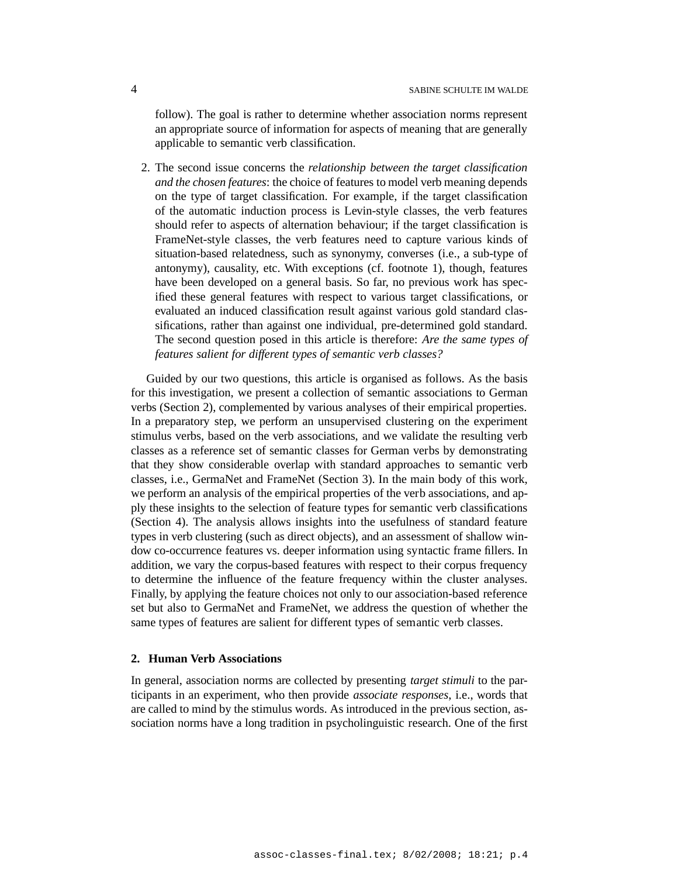follow). The goal is rather to determine whether association norms represent an appropriate source of information for aspects of meaning that are generally applicable to semantic verb classification.

2. The second issue concerns the *relationship between the target classification and the chosen features*: the choice of features to model verb meaning depends on the type of target classification. For example, if the target classification of the automatic induction process is Levin-style classes, the verb features should refer to aspects of alternation behaviour; if the target classification is FrameNet-style classes, the verb features need to capture various kinds of situation-based relatedness, such as synonymy, converses (i.e., a sub-type of antonymy), causality, etc. With exceptions (cf. footnote 1), though, features have been developed on a general basis. So far, no previous work has specified these general features with respect to various target classifications, or evaluated an induced classification result against various gold standard classifications, rather than against one individual, pre-determined gold standard. The second question posed in this article is therefore: *Are the same types of features salient for different types of semantic verb classes?*

Guided by our two questions, this article is organised as follows. As the basis for this investigation, we present a collection of semantic associations to German verbs (Section 2), complemented by various analyses of their empirical properties. In a preparatory step, we perform an unsupervised clustering on the experiment stimulus verbs, based on the verb associations, and we validate the resulting verb classes as a reference set of semantic classes for German verbs by demonstrating that they show considerable overlap with standard approaches to semantic verb classes, i.e., GermaNet and FrameNet (Section 3). In the main body of this work, we perform an analysis of the empirical properties of the verb associations, and apply these insights to the selection of feature types for semantic verb classifications (Section 4). The analysis allows insights into the usefulness of standard feature types in verb clustering (such as direct objects), and an assessment of shallow window co-occurrence features vs. deeper information using syntactic frame fillers. In addition, we vary the corpus-based features with respect to their corpus frequency to determine the influence of the feature frequency within the cluster analyses. Finally, by applying the feature choices not only to our association-based reference set but also to GermaNet and FrameNet, we address the question of whether the same types of features are salient for different types of semantic verb classes.

## **2. Human Verb Associations**

In general, association norms are collected by presenting *target stimuli* to the participants in an experiment, who then provide *associate responses*, i.e., words that are called to mind by the stimulus words. As introduced in the previous section, association norms have a long tradition in psycholinguistic research. One of the first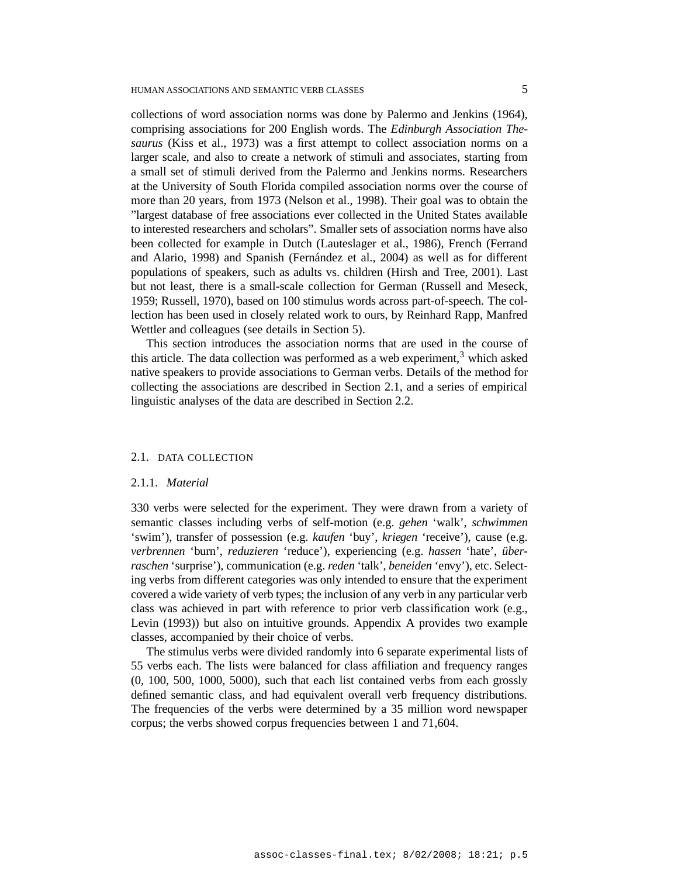collections of word association norms was done by Palermo and Jenkins (1964), comprising associations for 200 English words. The *Edinburgh Association Thesaurus* (Kiss et al., 1973) was a first attempt to collect association norms on a larger scale, and also to create a network of stimuli and associates, starting from a small set of stimuli derived from the Palermo and Jenkins norms. Researchers at the University of South Florida compiled association norms over the course of more than 20 years, from 1973 (Nelson et al., 1998). Their goal was to obtain the "largest database of free associations ever collected in the United States available to interested researchers and scholars". Smaller sets of association norms have also been collected for example in Dutch (Lauteslager et al., 1986), French (Ferrand and Alario, 1998) and Spanish (Fernández et al., 2004) as well as for different populations of speakers, such as adults vs. children (Hirsh and Tree, 2001). Last but not least, there is a small-scale collection for German (Russell and Meseck, 1959; Russell, 1970), based on 100 stimulus words across part-of-speech. The collection has been used in closely related work to ours, by Reinhard Rapp, Manfred Wettler and colleagues (see details in Section 5).

This section introduces the association norms that are used in the course of this article. The data collection was performed as a web experiment,  $3$  which asked native speakers to provide associations to German verbs. Details of the method for collecting the associations are described in Section 2.1, and a series of empirical linguistic analyses of the data are described in Section 2.2.

## 2.1. DATA COLLECTION

#### 2.1.1. *Material*

330 verbs were selected for the experiment. They were drawn from a variety of semantic classes including verbs of self-motion (e.g. *gehen* 'walk', *schwimmen* 'swim'), transfer of possession (e.g. *kaufen* 'buy', *kriegen* 'receive'), cause (e.g. *verbrennen* 'burn', *reduzieren* 'reduce'), experiencing (e.g. *hassen* 'hate', *uber- ¨ raschen* 'surprise'), communication (e.g. *reden* 'talk', *beneiden* 'envy'), etc. Selecting verbs from different categories was only intended to ensure that the experiment covered a wide variety of verb types; the inclusion of any verb in any particular verb class was achieved in part with reference to prior verb classification work (e.g., Levin (1993)) but also on intuitive grounds. Appendix A provides two example classes, accompanied by their choice of verbs.

The stimulus verbs were divided randomly into 6 separate experimental lists of 55 verbs each. The lists were balanced for class affiliation and frequency ranges (0, 100, 500, 1000, 5000), such that each list contained verbs from each grossly defined semantic class, and had equivalent overall verb frequency distributions. The frequencies of the verbs were determined by a 35 million word newspaper corpus; the verbs showed corpus frequencies between 1 and 71,604.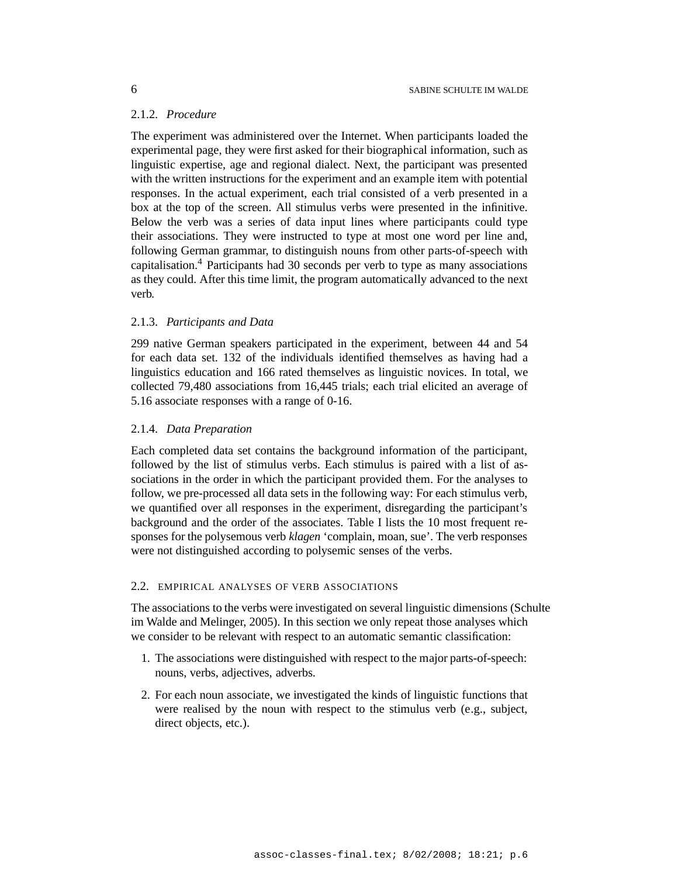## 2.1.2. *Procedure*

The experiment was administered over the Internet. When participants loaded the experimental page, they were first asked for their biographical information, such as linguistic expertise, age and regional dialect. Next, the participant was presented with the written instructions for the experiment and an example item with potential responses. In the actual experiment, each trial consisted of a verb presented in a box at the top of the screen. All stimulus verbs were presented in the infinitive. Below the verb was a series of data input lines where participants could type their associations. They were instructed to type at most one word per line and, following German grammar, to distinguish nouns from other parts-of-speech with capitalisation.<sup>4</sup> Participants had 30 seconds per verb to type as many associations as they could. After this time limit, the program automatically advanced to the next verb.

## 2.1.3. *Participants and Data*

299 native German speakers participated in the experiment, between 44 and 54 for each data set. 132 of the individuals identified themselves as having had a linguistics education and 166 rated themselves as linguistic novices. In total, we collected 79,480 associations from 16,445 trials; each trial elicited an average of 5.16 associate responses with a range of 0-16.

#### 2.1.4. *Data Preparation*

Each completed data set contains the background information of the participant, followed by the list of stimulus verbs. Each stimulus is paired with a list of associations in the order in which the participant provided them. For the analyses to follow, we pre-processed all data sets in the following way: For each stimulus verb, we quantified over all responses in the experiment, disregarding the participant's background and the order of the associates. Table I lists the 10 most frequent responses for the polysemous verb *klagen* 'complain, moan, sue'. The verb responses were not distinguished according to polysemic senses of the verbs.

#### 2.2. EMPIRICAL ANALYSES OF VERB ASSOCIATIONS

The associations to the verbs were investigated on several linguistic dimensions (Schulte im Walde and Melinger, 2005). In this section we only repeat those analyses which we consider to be relevant with respect to an automatic semantic classification:

- 1. The associations were distinguished with respect to the major parts-of-speech: nouns, verbs, adjectives, adverbs.
- 2. For each noun associate, we investigated the kinds of linguistic functions that were realised by the noun with respect to the stimulus verb (e.g., subject, direct objects, etc.).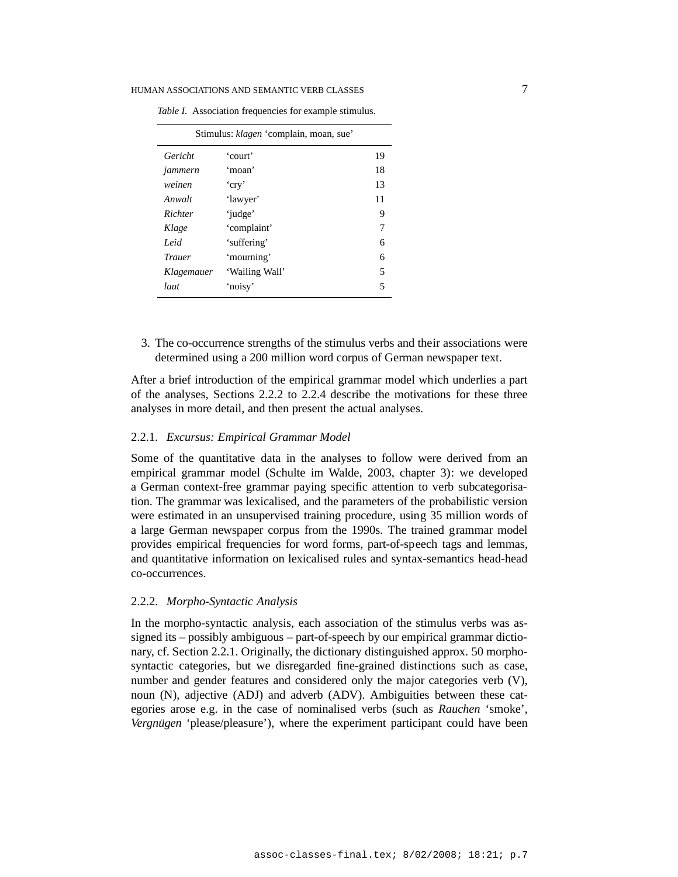| Stimulus: klagen 'complain, moan, sue' |                |    |  |
|----------------------------------------|----------------|----|--|
| Gericht                                | 'court'        | 19 |  |
| jammern                                | 'moan'         | 18 |  |
| weinen                                 | 'cry'          | 13 |  |
| Anwalt                                 | 'lawyer'       | 11 |  |
| Richter                                | 'judge'        | 9  |  |
| Klage                                  | 'complaint'    | 7  |  |
| Leid                                   | 'suffering'    | 6  |  |
| <b>Trauer</b>                          | 'mourning'     | 6  |  |
| Klagemauer                             | 'Wailing Wall' | 5  |  |
| laut                                   | 'noisy'        | 5  |  |
|                                        |                |    |  |

Table I. Association frequencies for example stimulus.

3. The co-occurrence strengths of the stimulus verbs and their associations were determined using a 200 million word corpus of German newspaper text.

After a brief introduction of the empirical grammar model which underlies a part of the analyses, Sections 2.2.2 to 2.2.4 describe the motivations for these three analyses in more detail, and then present the actual analyses.

## 2.2.1. *Excursus: Empirical Grammar Model*

Some of the quantitative data in the analyses to follow were derived from an empirical grammar model (Schulte im Walde, 2003, chapter 3): we developed a German context-free grammar paying specific attention to verb subcategorisation. The grammar was lexicalised, and the parameters of the probabilistic version were estimated in an unsupervised training procedure, using 35 million words of a large German newspaper corpus from the 1990s. The trained grammar model provides empirical frequencies for word forms, part-of-speech tags and lemmas, and quantitative information on lexicalised rules and syntax-semantics head-head co-occurrences.

## 2.2.2. *Morpho-Syntactic Analysis*

In the morpho-syntactic analysis, each association of the stimulus verbs was assigned its – possibly ambiguous – part-of-speech by our empirical grammar dictionary, cf. Section 2.2.1. Originally, the dictionary distinguished approx. 50 morphosyntactic categories, but we disregarded fine-grained distinctions such as case, number and gender features and considered only the major categories verb (V), noun (N), adjective (ADJ) and adverb (ADV). Ambiguities between these categories arose e.g. in the case of nominalised verbs (such as *Rauchen* 'smoke', *Vergnügen* 'please/pleasure'), where the experiment participant could have been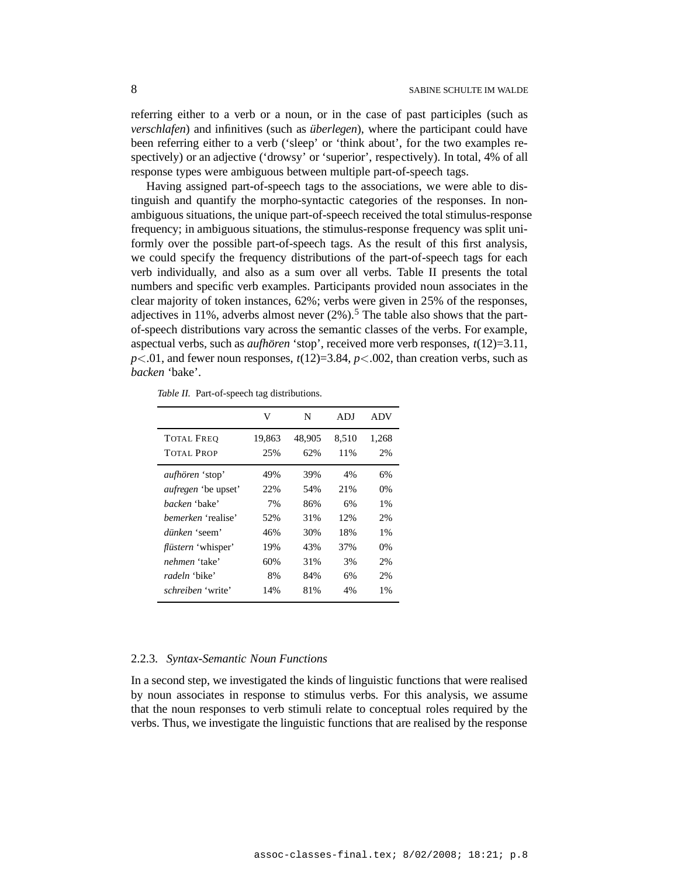referring either to a verb or a noun, or in the case of past participles (such as *verschlafen*) and infinitives (such as *überlegen*), where the participant could have been referring either to a verb ('sleep' or 'think about', for the two examples respectively) or an adjective ('drowsy' or 'superior', respectively). In total, 4% of all response types were ambiguous between multiple part-of-speech tags.

Having assigned part-of-speech tags to the associations, we were able to distinguish and quantify the morpho-syntactic categories of the responses. In nonambiguous situations, the unique part-of-speech received the total stimulus-response frequency; in ambiguous situations, the stimulus-response frequency was split uniformly over the possible part-of-speech tags. As the result of this first analysis, we could specify the frequency distributions of the part-of-speech tags for each verb individually, and also as a sum over all verbs. Table II presents the total numbers and specific verb examples. Participants provided noun associates in the clear majority of token instances, 62%; verbs were given in 25% of the responses, adjectives in 11%, adverbs almost never  $(2%)$ .<sup>5</sup> The table also shows that the partof-speech distributions vary across the semantic classes of the verbs. For example, aspectual verbs, such as *aufhoren ¨* 'stop', received more verb responses, *t*(12)=3.11,  $p<.01$ , and fewer noun responses,  $t(12)=3.84$ ,  $p<.002$ , than creation verbs, such as *backen* 'bake'.

|                            | V      | N      | ADJ   | ADV   |
|----------------------------|--------|--------|-------|-------|
| <b>TOTAL FREO</b>          | 19,863 | 48,905 | 8,510 | 1,268 |
| TOTAL PROP                 | 25%    | 62%    | 11%   | 2%    |
| <i>aufhören</i> 'stop'     | 49%    | 39%    | 4%    | 6%    |
| <i>aufregen</i> 'be upset' | 22%    | 54%    | 21%   | $0\%$ |
| <i>hacken</i> 'bake'       | 7%     | 86%    | 6%    | $1\%$ |
| <i>hemerken</i> 'realise'  | 52%    | 31%    | 12%   | 2%    |
| dünken 'seem'              | 46%    | 30%    | 18%   | $1\%$ |
| <i>flüstern</i> 'whisper'  | 19%    | 43%    | 37%   | $0\%$ |
| nehmen 'take'              | 60%    | 31%    | 3%    | 2%    |
| <i>radeln</i> 'bike'       | 8%     | 84%    | 6%    | 2%    |
| <i>schreiben</i> 'write'   | 14%    | 81%    | 4%    | 1%    |

*Table II.* Part-of-speech tag distributions.

#### 2.2.3. *Syntax-Semantic Noun Functions*

In a second step, we investigated the kinds of linguistic functions that were realised by noun associates in response to stimulus verbs. For this analysis, we assume that the noun responses to verb stimuli relate to conceptual roles required by the verbs. Thus, we investigate the linguistic functions that are realised by the response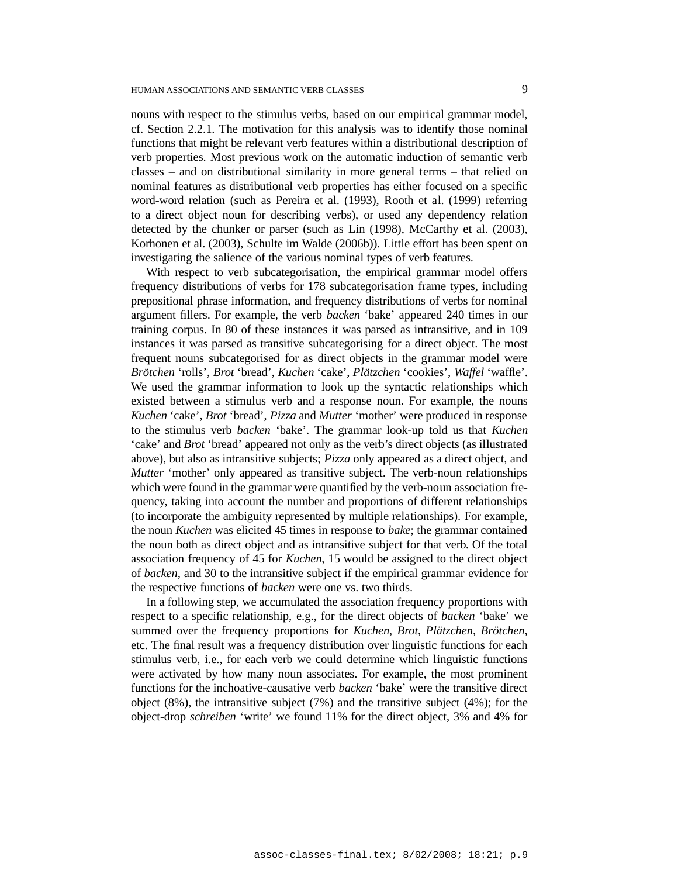nouns with respect to the stimulus verbs, based on our empirical grammar model, cf. Section 2.2.1. The motivation for this analysis was to identify those nominal functions that might be relevant verb features within a distributional description of verb properties. Most previous work on the automatic induction of semantic verb classes – and on distributional similarity in more general terms – that relied on nominal features as distributional verb properties has either focused on a specific word-word relation (such as Pereira et al. (1993), Rooth et al. (1999) referring to a direct object noun for describing verbs), or used any dependency relation detected by the chunker or parser (such as Lin (1998), McCarthy et al. (2003), Korhonen et al. (2003), Schulte im Walde (2006b)). Little effort has been spent on investigating the salience of the various nominal types of verb features.

With respect to verb subcategorisation, the empirical grammar model offers frequency distributions of verbs for 178 subcategorisation frame types, including prepositional phrase information, and frequency distributions of verbs for nominal argument fillers. For example, the verb *backen* 'bake' appeared 240 times in our training corpus. In 80 of these instances it was parsed as intransitive, and in 109 instances it was parsed as transitive subcategorising for a direct object. The most frequent nouns subcategorised for as direct objects in the grammar model were *Brotchen ¨* 'rolls', *Brot* 'bread', *Kuchen* 'cake', *Platzchen ¨* 'cookies', *Waffel* 'waffle'. We used the grammar information to look up the syntactic relationships which existed between a stimulus verb and a response noun. For example, the nouns *Kuchen* 'cake', *Brot* 'bread', *Pizza* and *Mutter* 'mother' were produced in response to the stimulus verb *backen* 'bake'. The grammar look-up told us that *Kuchen* 'cake' and *Brot* 'bread' appeared not only as the verb's direct objects (as illustrated above), but also as intransitive subjects; *Pizza* only appeared as a direct object, and *Mutter* 'mother' only appeared as transitive subject. The verb-noun relationships which were found in the grammar were quantified by the verb-noun association frequency, taking into account the number and proportions of different relationships (to incorporate the ambiguity represented by multiple relationships). For example, the noun *Kuchen* was elicited 45 times in response to *bake*; the grammar contained the noun both as direct object and as intransitive subject for that verb. Of the total association frequency of 45 for *Kuchen*, 15 would be assigned to the direct object of *backen*, and 30 to the intransitive subject if the empirical grammar evidence for the respective functions of *backen* were one vs. two thirds.

In a following step, we accumulated the association frequency proportions with respect to a specific relationship, e.g., for the direct objects of *backen* 'bake' we summed over the frequency proportions for *Kuchen*, *Brot*, *Plätzchen*, *Brötchen*, etc. The final result was a frequency distribution over linguistic functions for each stimulus verb, i.e., for each verb we could determine which linguistic functions were activated by how many noun associates. For example, the most prominent functions for the inchoative-causative verb *backen* 'bake' were the transitive direct object (8%), the intransitive subject (7%) and the transitive subject (4%); for the object-drop *schreiben* 'write' we found 11% for the direct object, 3% and 4% for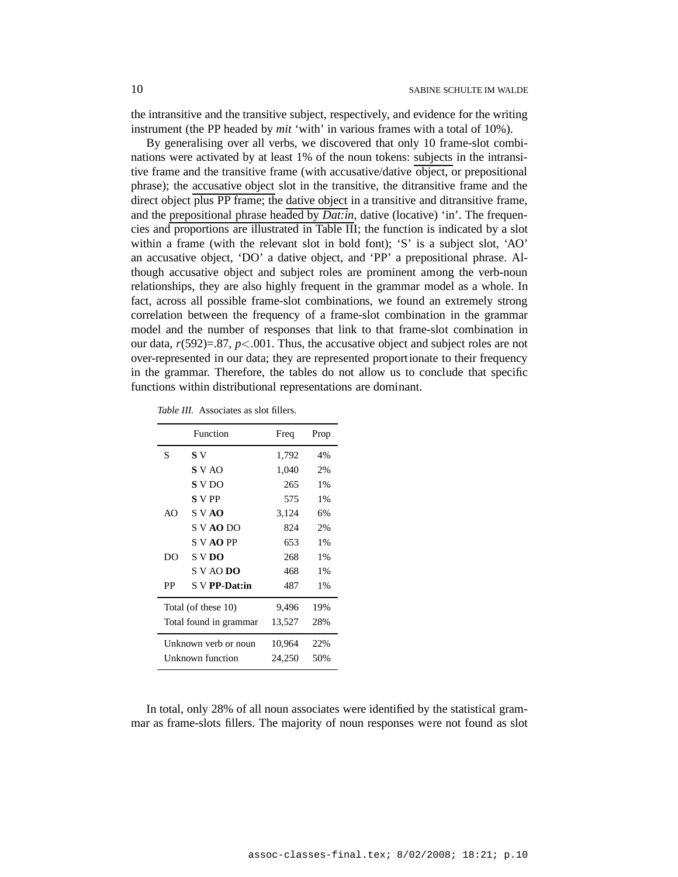the intransitive and the transitive subject, respectively, and evidence for the writing instrument (the PP headed by *mit* 'with' in various frames with a total of 10%).

By generalising over all verbs, we discovered that only 10 frame-slot combinations were activated by at least 1% of the noun tokens: subjects in the intransitive frame and the transitive frame (with accusative/dative object, or prepositional phrase); the accusative object slot in the transitive, the ditransitive frame and the direct object plus PP frame; the dative object in a transitive and ditransitive frame, and the prepositional phrase headed by  $\overline{Dat:}$  in, dative (locative) 'in'. The frequencies and proportions are illustrated in Table III; the function is indicated by a slot within a frame (with the relevant slot in bold font); 'S' is a subject slot, 'AO' an accusative object, 'DO' a dative object, and 'PP' a prepositional phrase. Although accusative object and subject roles are prominent among the verb-noun relationships, they are also highly frequent in the grammar model as a whole. In fact, across all possible frame-slot combinations, we found an extremely strong correlation between the frequency of a frame-slot combination in the grammar model and the number of responses that link to that frame-slot combination in our data, *r*(592)=.87, *p*<.001. Thus, the accusative object and subject roles are not over-represented in our data; they are represented proportionate to their frequency in the grammar. Therefore, the tables do not allow us to conclude that specific functions within distributional representations are dominant.

*Table III.* Associates as slot fillers.

|    | Function               | Freq   | Prop  |
|----|------------------------|--------|-------|
| S  | S V                    | 1,792  | 4%    |
|    | S V AO                 | 1,040  | 2%    |
|    | S V DO                 | 265    | 1%    |
|    | S V PP                 | 575    | 1%    |
| AΟ | S V AO                 | 3,124  | 6%    |
|    | S V AO DO              | 824    | 2%    |
|    | S V A O P P            | 653    | 1%    |
| DO | S V DO                 | 268    | 1%    |
|    | S V AO DO              | 468    | $1\%$ |
| PP | S V PP-Dat:in          | 487    | $1\%$ |
|    | Total (of these 10)    | 9,496  | 19%   |
|    | Total found in grammar | 13,527 | 28%   |
|    | Unknown verb or noun   | 10,964 | 22%   |
|    | Unknown function       | 24,250 | 50%   |

In total, only 28% of all noun associates were identified by the statistical grammar as frame-slots fillers. The majority of noun responses were not found as slot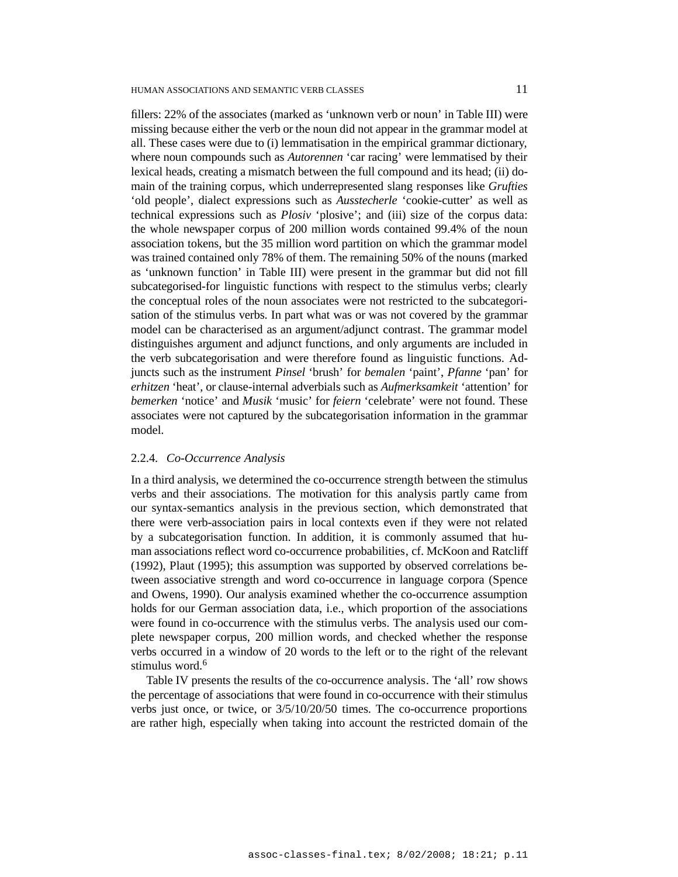fillers: 22% of the associates (marked as 'unknown verb or noun' in Table III) were missing because either the verb or the noun did not appear in the grammar model at all. These cases were due to (i) lemmatisation in the empirical grammar dictionary, where noun compounds such as *Autorennen* 'car racing' were lemmatised by their lexical heads, creating a mismatch between the full compound and its head; (ii) domain of the training corpus, which underrepresented slang responses like *Grufties* 'old people', dialect expressions such as *Ausstecherle* 'cookie-cutter' as well as technical expressions such as *Plosiv* 'plosive'; and (iii) size of the corpus data: the whole newspaper corpus of 200 million words contained 99.4% of the noun association tokens, but the 35 million word partition on which the grammar model was trained contained only 78% of them. The remaining 50% of the nouns (marked as 'unknown function' in Table III) were present in the grammar but did not fill subcategorised-for linguistic functions with respect to the stimulus verbs; clearly the conceptual roles of the noun associates were not restricted to the subcategorisation of the stimulus verbs. In part what was or was not covered by the grammar model can be characterised as an argument/adjunct contrast. The grammar model distinguishes argument and adjunct functions, and only arguments are included in the verb subcategorisation and were therefore found as linguistic functions. Adjuncts such as the instrument *Pinsel* 'brush' for *bemalen* 'paint', *Pfanne* 'pan' for *erhitzen* 'heat', or clause-internal adverbials such as *Aufmerksamkeit* 'attention' for *bemerken* 'notice' and *Musik* 'music' for *feiern* 'celebrate' were not found. These associates were not captured by the subcategorisation information in the grammar model.

#### 2.2.4. *Co-Occurrence Analysis*

In a third analysis, we determined the co-occurrence strength between the stimulus verbs and their associations. The motivation for this analysis partly came from our syntax-semantics analysis in the previous section, which demonstrated that there were verb-association pairs in local contexts even if they were not related by a subcategorisation function. In addition, it is commonly assumed that human associations reflect word co-occurrence probabilities, cf. McKoon and Ratcliff (1992), Plaut (1995); this assumption was supported by observed correlations between associative strength and word co-occurrence in language corpora (Spence and Owens, 1990). Our analysis examined whether the co-occurrence assumption holds for our German association data, i.e., which proportion of the associations were found in co-occurrence with the stimulus verbs. The analysis used our complete newspaper corpus, 200 million words, and checked whether the response verbs occurred in a window of 20 words to the left or to the right of the relevant stimulus word.<sup>6</sup>

Table IV presents the results of the co-occurrence analysis. The 'all' row shows the percentage of associations that were found in co-occurrence with their stimulus verbs just once, or twice, or 3/5/10/20/50 times. The co-occurrence proportions are rather high, especially when taking into account the restricted domain of the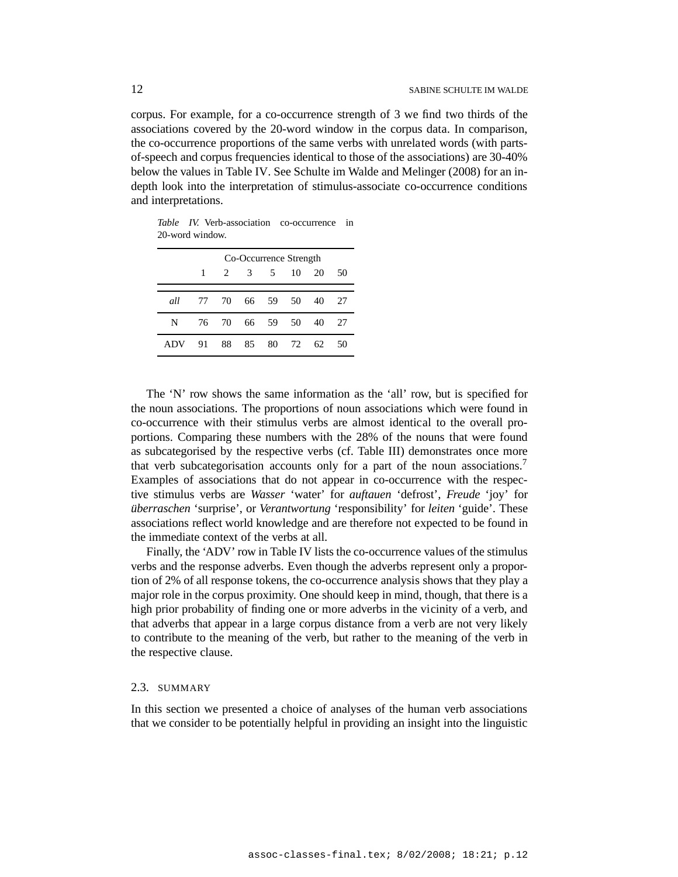corpus. For example, for a co-occurrence strength of 3 we find two thirds of the associations covered by the 20-word window in the corpus data. In comparison, the co-occurrence proportions of the same verbs with unrelated words (with partsof-speech and corpus frequencies identical to those of the associations) are 30-40% below the values in Table IV. See Schulte im Walde and Melinger (2008) for an indepth look into the interpretation of stimulus-associate co-occurrence conditions and interpretations.

*Table IV.* Verb-association co-occurrence in 20-word window.

|     |     |                               |    |    | Co-Occurrence Strength |    |    |
|-----|-----|-------------------------------|----|----|------------------------|----|----|
|     | 1   | $\mathfrak{D}_{\mathfrak{p}}$ | 3  | 5  | 10                     | 20 | 50 |
|     |     |                               |    |    |                        |    |    |
| all | 77  | 70                            | 66 | 59 | 50                     | 40 | 27 |
| N   | 76. | 70                            | 66 | 59 | 50                     | 40 | 27 |
| ADV | 91  | 88                            | 85 | 80 | 72                     | 62 | 50 |

The 'N' row shows the same information as the 'all' row, but is specified for the noun associations. The proportions of noun associations which were found in co-occurrence with their stimulus verbs are almost identical to the overall proportions. Comparing these numbers with the 28% of the nouns that were found as subcategorised by the respective verbs (cf. Table III) demonstrates once more that verb subcategorisation accounts only for a part of the noun associations.<sup>7</sup> Examples of associations that do not appear in co-occurrence with the respective stimulus verbs are *Wasser* 'water' for *auftauen* 'defrost', *Freude* 'joy' for *uberraschen ¨* 'surprise', or *Verantwortung* 'responsibility' for *leiten* 'guide'. These associations reflect world knowledge and are therefore not expected to be found in the immediate context of the verbs at all.

Finally, the 'ADV' row in Table IV lists the co-occurrence values of the stimulus verbs and the response adverbs. Even though the adverbs represent only a proportion of 2% of all response tokens, the co-occurrence analysis shows that they play a major role in the corpus proximity. One should keep in mind, though, that there is a high prior probability of finding one or more adverbs in the vicinity of a verb, and that adverbs that appear in a large corpus distance from a verb are not very likely to contribute to the meaning of the verb, but rather to the meaning of the verb in the respective clause.

#### 2.3. SUMMARY

In this section we presented a choice of analyses of the human verb associations that we consider to be potentially helpful in providing an insight into the linguistic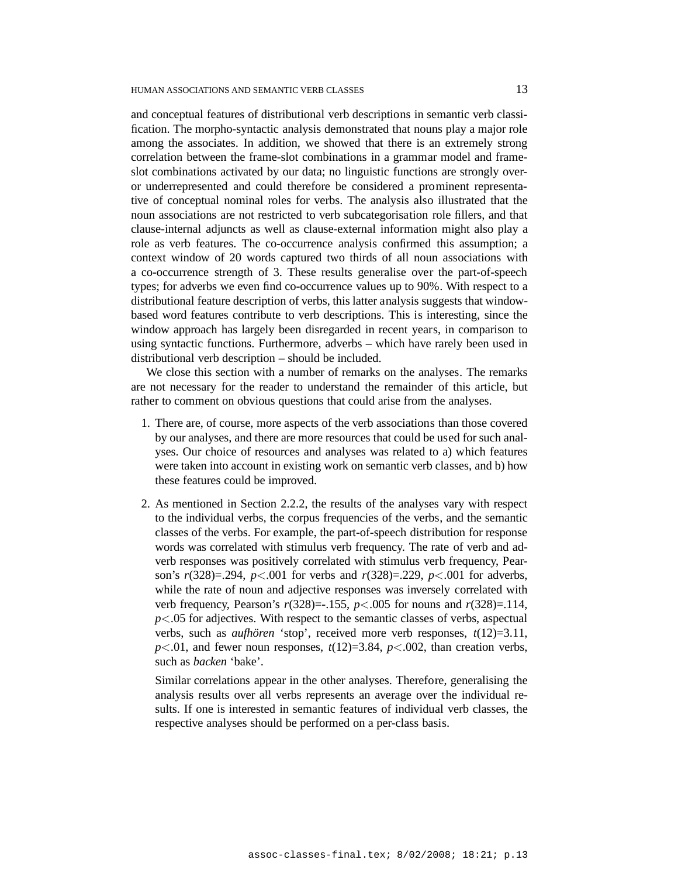and conceptual features of distributional verb descriptions in semantic verb classification. The morpho-syntactic analysis demonstrated that nouns play a major role among the associates. In addition, we showed that there is an extremely strong correlation between the frame-slot combinations in a grammar model and frameslot combinations activated by our data; no linguistic functions are strongly overor underrepresented and could therefore be considered a prominent representative of conceptual nominal roles for verbs. The analysis also illustrated that the noun associations are not restricted to verb subcategorisation role fillers, and that clause-internal adjuncts as well as clause-external information might also play a role as verb features. The co-occurrence analysis confirmed this assumption; a context window of 20 words captured two thirds of all noun associations with a co-occurrence strength of 3. These results generalise over the part-of-speech types; for adverbs we even find co-occurrence values up to 90%. With respect to a distributional feature description of verbs, this latter analysis suggests that windowbased word features contribute to verb descriptions. This is interesting, since the window approach has largely been disregarded in recent years, in comparison to using syntactic functions. Furthermore, adverbs – which have rarely been used in distributional verb description – should be included.

We close this section with a number of remarks on the analyses. The remarks are not necessary for the reader to understand the remainder of this article, but rather to comment on obvious questions that could arise from the analyses.

- 1. There are, of course, more aspects of the verb associations than those covered by our analyses, and there are more resources that could be used for such analyses. Our choice of resources and analyses was related to a) which features were taken into account in existing work on semantic verb classes, and b) how these features could be improved.
- 2. As mentioned in Section 2.2.2, the results of the analyses vary with respect to the individual verbs, the corpus frequencies of the verbs, and the semantic classes of the verbs. For example, the part-of-speech distribution for response words was correlated with stimulus verb frequency. The rate of verb and adverb responses was positively correlated with stimulus verb frequency, Pearson's *r*(328)=.294, *p*<.001 for verbs and *r*(328)=.229, *p*<.001 for adverbs, while the rate of noun and adjective responses was inversely correlated with verb frequency, Pearson's  $r(328) = -155$ ,  $p < .005$  for nouns and  $r(328) = .114$ , *p*<.05 for adjectives. With respect to the semantic classes of verbs, aspectual verbs, such as *aufhoren* 'stop', received more verb responses,  $t(12)=3.11$ ,  $p$ <.01, and fewer noun responses,  $t(12)=3.84$ ,  $p$ <.002, than creation verbs, such as *backen* 'bake'.

Similar correlations appear in the other analyses. Therefore, generalising the analysis results over all verbs represents an average over the individual results. If one is interested in semantic features of individual verb classes, the respective analyses should be performed on a per-class basis.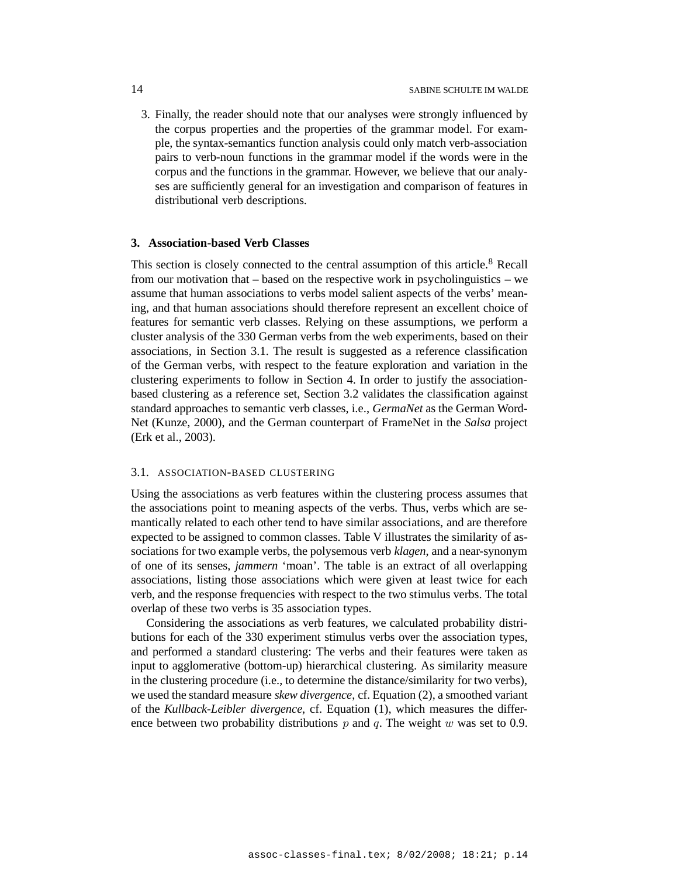3. Finally, the reader should note that our analyses were strongly influenced by the corpus properties and the properties of the grammar model. For example, the syntax-semantics function analysis could only match verb-association pairs to verb-noun functions in the grammar model if the words were in the corpus and the functions in the grammar. However, we believe that our analyses are sufficiently general for an investigation and comparison of features in distributional verb descriptions.

## **3. Association-based Verb Classes**

This section is closely connected to the central assumption of this article.<sup>8</sup> Recall from our motivation that – based on the respective work in psycholinguistics – we assume that human associations to verbs model salient aspects of the verbs' meaning, and that human associations should therefore represent an excellent choice of features for semantic verb classes. Relying on these assumptions, we perform a cluster analysis of the 330 German verbs from the web experiments, based on their associations, in Section 3.1. The result is suggested as a reference classification of the German verbs, with respect to the feature exploration and variation in the clustering experiments to follow in Section 4. In order to justify the associationbased clustering as a reference set, Section 3.2 validates the classification against standard approaches to semantic verb classes, i.e., *GermaNet* as the German Word-Net (Kunze, 2000), and the German counterpart of FrameNet in the *Salsa* project (Erk et al., 2003).

## 3.1. ASSOCIATION-BASED CLUSTERING

Using the associations as verb features within the clustering process assumes that the associations point to meaning aspects of the verbs. Thus, verbs which are semantically related to each other tend to have similar associations, and are therefore expected to be assigned to common classes. Table V illustrates the similarity of associations for two example verbs, the polysemous verb *klagen*, and a near-synonym of one of its senses, *jammern* 'moan'. The table is an extract of all overlapping associations, listing those associations which were given at least twice for each verb, and the response frequencies with respect to the two stimulus verbs. The total overlap of these two verbs is 35 association types.

Considering the associations as verb features, we calculated probability distributions for each of the 330 experiment stimulus verbs over the association types, and performed a standard clustering: The verbs and their features were taken as input to agglomerative (bottom-up) hierarchical clustering. As similarity measure in the clustering procedure (i.e., to determine the distance/similarity for two verbs), we used the standard measure *skew divergence*, cf. Equation (2), a smoothed variant of the *Kullback-Leibler divergence*, cf. Equation (1), which measures the difference between two probability distributions  $p$  and  $q$ . The weight  $w$  was set to 0.9.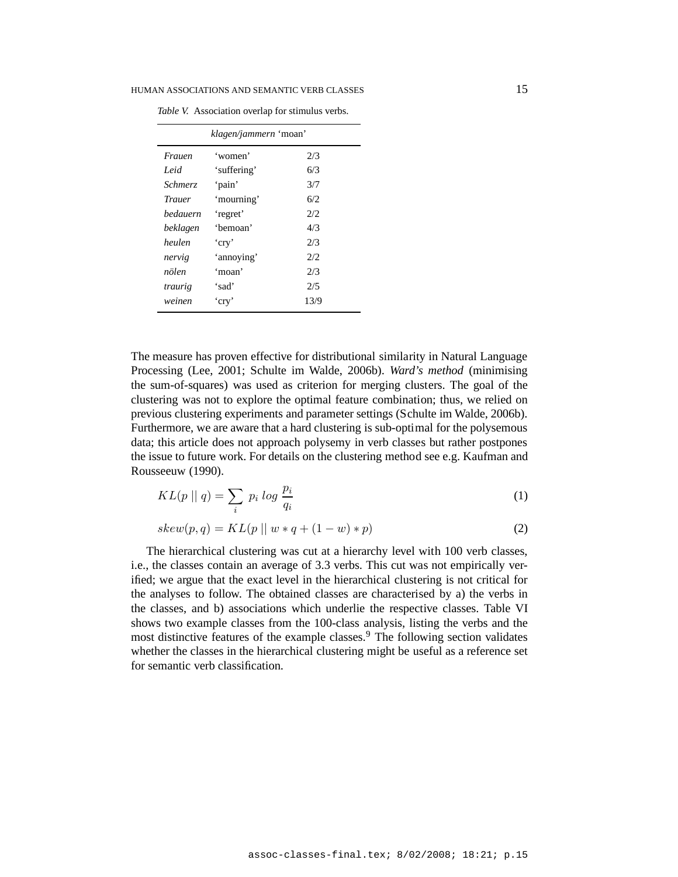|                 | klagen/jammern 'moan' |      |
|-----------------|-----------------------|------|
| Frauen          | 'women'               | 2/3  |
| Leid            | 'suffering'           | 6/3  |
| <i>Schmerz</i>  | 'pain'                | 3/7  |
| Trauer          | 'mourning'            | 6/2  |
| <i>bedauern</i> | 'regret'              | 2/2  |
| beklagen        | 'bemoan'              | 4/3  |
| heulen          | 'cry'                 | 2/3  |
| nervig          | 'annoying'            | 2/2  |
| nölen           | ʻmoan'                | 2/3  |
| traurig         | ʻsad'                 | 2/5  |
| weinen          | 'cry'                 | 13/9 |

*Table V.* Association overlap for stimulus verbs.

The measure has proven effective for distributional similarity in Natural Language Processing (Lee, 2001; Schulte im Walde, 2006b). *Ward's method* (minimising the sum-of-squares) was used as criterion for merging clusters. The goal of the clustering was not to explore the optimal feature combination; thus, we relied on previous clustering experiments and parameter settings (Schulte im Walde, 2006b). Furthermore, we are aware that a hard clustering is sub-optimal for the polysemous data; this article does not approach polysemy in verb classes but rather postpones the issue to future work. For details on the clustering method see e.g. Kaufman and Rousseeuw (1990).

$$
KL(p \mid q) = \sum_{i} p_i \log \frac{p_i}{q_i} \tag{1}
$$

$$
skew(p,q) = KL(p \parallel w * q + (1 - w) * p)
$$
\n<sup>(2)</sup>

The hierarchical clustering was cut at a hierarchy level with 100 verb classes, i.e., the classes contain an average of 3.3 verbs. This cut was not empirically verified; we argue that the exact level in the hierarchical clustering is not critical for the analyses to follow. The obtained classes are characterised by a) the verbs in the classes, and b) associations which underlie the respective classes. Table VI shows two example classes from the 100-class analysis, listing the verbs and the most distinctive features of the example classes.<sup>9</sup> The following section validates whether the classes in the hierarchical clustering might be useful as a reference set for semantic verb classification.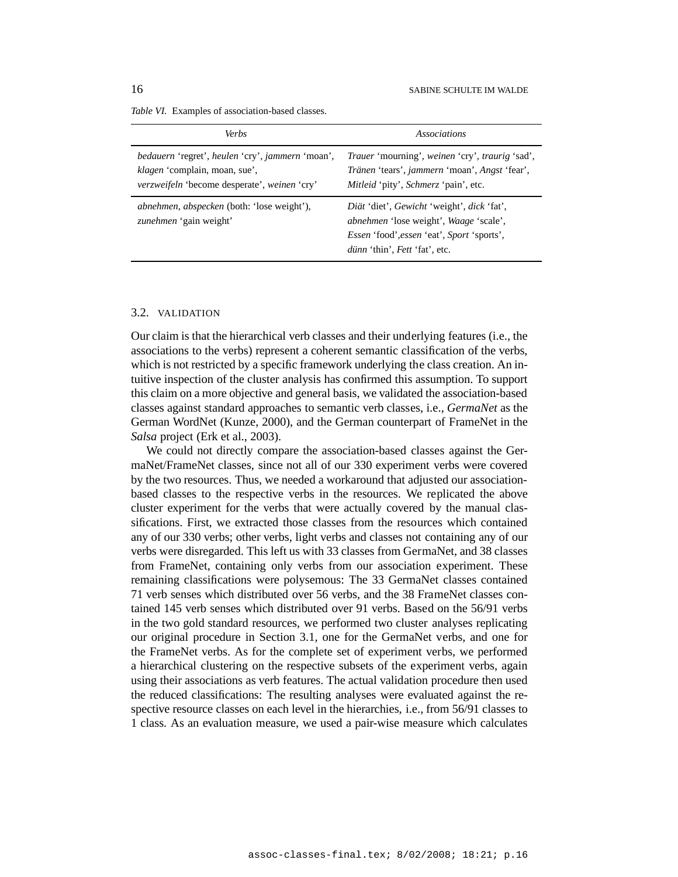*Table VI.* Examples of association-based classes.

| <b>Verbs</b>                                                                                                                                                         | Associations                                                                                                                                                                                                         |
|----------------------------------------------------------------------------------------------------------------------------------------------------------------------|----------------------------------------------------------------------------------------------------------------------------------------------------------------------------------------------------------------------|
| <i>bedauern</i> 'regret', <i>heulen</i> 'cry', <i>jammern</i> 'moan',<br>klagen 'complain, moan, sue',<br><i>verzweifeln</i> 'become desperate', <i>weinen</i> 'cry' | <i>Trauer</i> 'mourning', <i>weinen</i> 'cry', <i>traurig</i> 'sad',<br>Tränen 'tears', jammern 'moan', Angst 'fear',<br><i>Mitleid 'pity', Schmerz 'pain', etc.</i>                                                 |
| <i>abnehmen, abspecken</i> (both: 'lose weight'),<br>zunehmen 'gain weight'                                                                                          | Diät 'diet', Gewicht 'weight', dick 'fat',<br><i>abnehmen</i> 'lose weight', <i>Waage</i> 'scale',<br><i>Essen</i> 'food', <i>essen</i> 'eat', <i>Sport</i> 'sports',<br><i>dünn</i> 'thin', <i>Fett</i> 'fat', etc. |

#### 3.2. VALIDATION

Our claim is that the hierarchical verb classes and their underlying features (i.e., the associations to the verbs) represent a coherent semantic classification of the verbs, which is not restricted by a specific framework underlying the class creation. An intuitive inspection of the cluster analysis has confirmed this assumption. To support this claim on a more objective and general basis, we validated the association-based classes against standard approaches to semantic verb classes, i.e., *GermaNet* as the German WordNet (Kunze, 2000), and the German counterpart of FrameNet in the *Salsa* project (Erk et al., 2003).

We could not directly compare the association-based classes against the GermaNet/FrameNet classes, since not all of our 330 experiment verbs were covered by the two resources. Thus, we needed a workaround that adjusted our associationbased classes to the respective verbs in the resources. We replicated the above cluster experiment for the verbs that were actually covered by the manual classifications. First, we extracted those classes from the resources which contained any of our 330 verbs; other verbs, light verbs and classes not containing any of our verbs were disregarded. This left us with 33 classes from GermaNet, and 38 classes from FrameNet, containing only verbs from our association experiment. These remaining classifications were polysemous: The 33 GermaNet classes contained 71 verb senses which distributed over 56 verbs, and the 38 FrameNet classes contained 145 verb senses which distributed over 91 verbs. Based on the 56/91 verbs in the two gold standard resources, we performed two cluster analyses replicating our original procedure in Section 3.1, one for the GermaNet verbs, and one for the FrameNet verbs. As for the complete set of experiment verbs, we performed a hierarchical clustering on the respective subsets of the experiment verbs, again using their associations as verb features. The actual validation procedure then used the reduced classifications: The resulting analyses were evaluated against the respective resource classes on each level in the hierarchies, i.e., from 56/91 classes to 1 class. As an evaluation measure, we used a pair-wise measure which calculates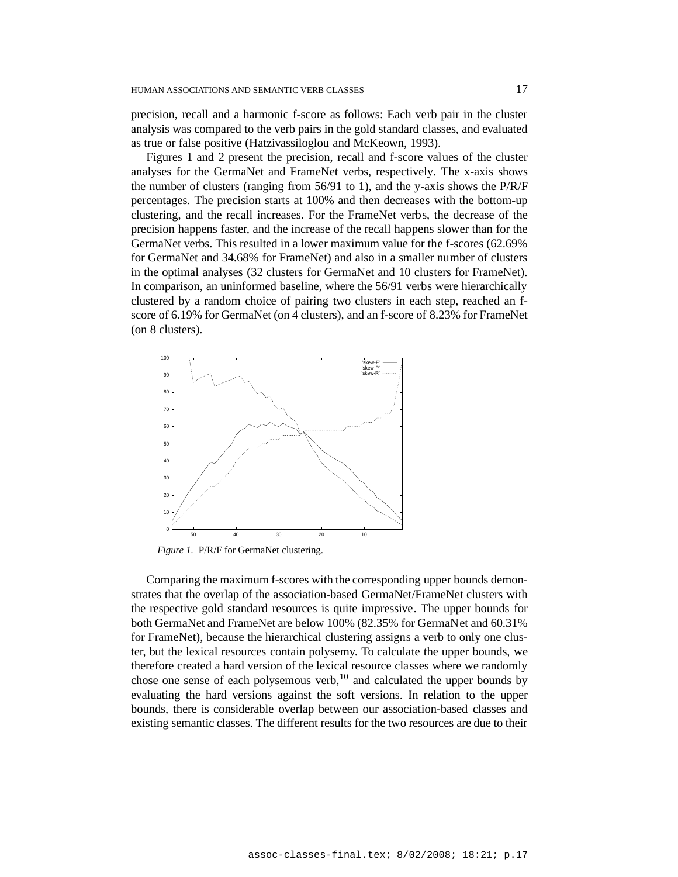precision, recall and a harmonic f-score as follows: Each verb pair in the cluster analysis was compared to the verb pairs in the gold standard classes, and evaluated as true or false positive (Hatzivassiloglou and McKeown, 1993).

Figures 1 and 2 present the precision, recall and f-score values of the cluster analyses for the GermaNet and FrameNet verbs, respectively. The x-axis shows the number of clusters (ranging from 56/91 to 1), and the y-axis shows the P/R/F percentages. The precision starts at 100% and then decreases with the bottom-up clustering, and the recall increases. For the FrameNet verbs, the decrease of the precision happens faster, and the increase of the recall happens slower than for the GermaNet verbs. This resulted in a lower maximum value for the f-scores (62.69% for GermaNet and 34.68% for FrameNet) and also in a smaller number of clusters in the optimal analyses (32 clusters for GermaNet and 10 clusters for FrameNet). In comparison, an uninformed baseline, where the 56/91 verbs were hierarchically clustered by a random choice of pairing two clusters in each step, reached an fscore of 6.19% for GermaNet (on 4 clusters), and an f-score of 8.23% for FrameNet (on 8 clusters).



*Figure 1.* P/R/F for GermaNet clustering.

Comparing the maximum f-scores with the corresponding upper bounds demonstrates that the overlap of the association-based GermaNet/FrameNet clusters with the respective gold standard resources is quite impressive. The upper bounds for both GermaNet and FrameNet are below 100% (82.35% for GermaNet and 60.31% for FrameNet), because the hierarchical clustering assigns a verb to only one cluster, but the lexical resources contain polysemy. To calculate the upper bounds, we therefore created a hard version of the lexical resource classes where we randomly chose one sense of each polysemous verb,  $10$  and calculated the upper bounds by evaluating the hard versions against the soft versions. In relation to the upper bounds, there is considerable overlap between our association-based classes and existing semantic classes. The different results for the two resources are due to their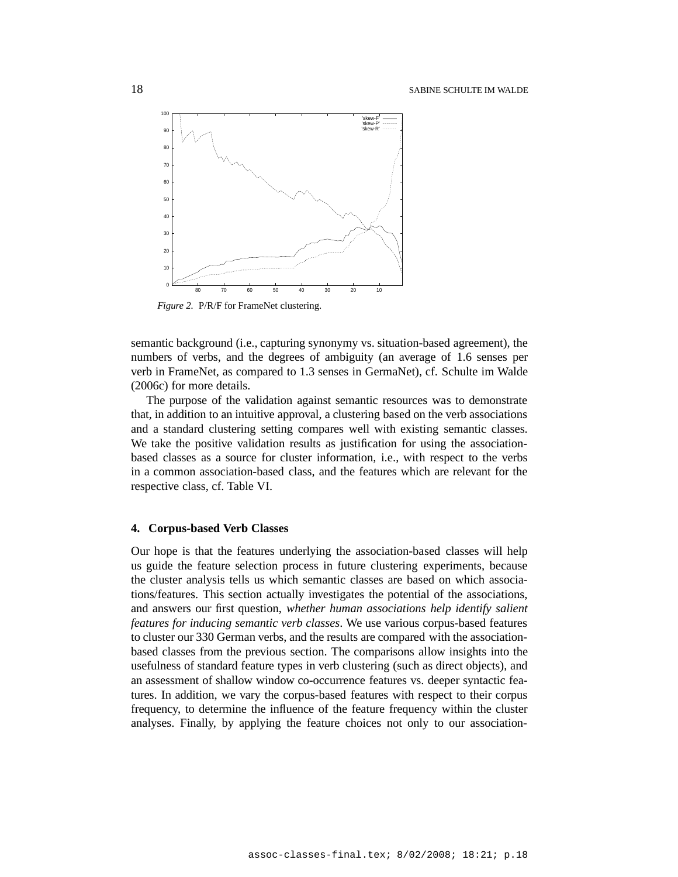

*Figure 2.* P/R/F for FrameNet clustering.

semantic background (i.e., capturing synonymy vs. situation-based agreement), the numbers of verbs, and the degrees of ambiguity (an average of 1.6 senses per verb in FrameNet, as compared to 1.3 senses in GermaNet), cf. Schulte im Walde (2006c) for more details.

The purpose of the validation against semantic resources was to demonstrate that, in addition to an intuitive approval, a clustering based on the verb associations and a standard clustering setting compares well with existing semantic classes. We take the positive validation results as justification for using the associationbased classes as a source for cluster information, i.e., with respect to the verbs in a common association-based class, and the features which are relevant for the respective class, cf. Table VI.

## **4. Corpus-based Verb Classes**

Our hope is that the features underlying the association-based classes will help us guide the feature selection process in future clustering experiments, because the cluster analysis tells us which semantic classes are based on which associations/features. This section actually investigates the potential of the associations, and answers our first question, *whether human associations help identify salient features for inducing semantic verb classes*. We use various corpus-based features to cluster our 330 German verbs, and the results are compared with the associationbased classes from the previous section. The comparisons allow insights into the usefulness of standard feature types in verb clustering (such as direct objects), and an assessment of shallow window co-occurrence features vs. deeper syntactic features. In addition, we vary the corpus-based features with respect to their corpus frequency, to determine the influence of the feature frequency within the cluster analyses. Finally, by applying the feature choices not only to our association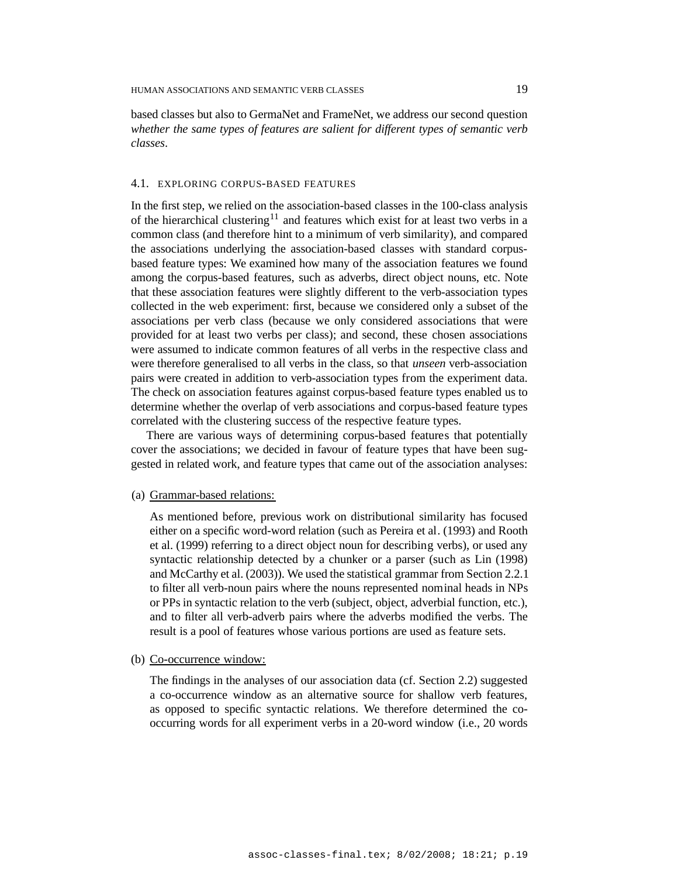based classes but also to GermaNet and FrameNet, we address our second question *whether the same types of features are salient for different types of semantic verb classes*.

#### 4.1. EXPLORING CORPUS-BASED FEATURES

In the first step, we relied on the association-based classes in the 100-class analysis of the hierarchical clustering<sup>11</sup> and features which exist for at least two verbs in a common class (and therefore hint to a minimum of verb similarity), and compared the associations underlying the association-based classes with standard corpusbased feature types: We examined how many of the association features we found among the corpus-based features, such as adverbs, direct object nouns, etc. Note that these association features were slightly different to the verb-association types collected in the web experiment: first, because we considered only a subset of the associations per verb class (because we only considered associations that were provided for at least two verbs per class); and second, these chosen associations were assumed to indicate common features of all verbs in the respective class and were therefore generalised to all verbs in the class, so that *unseen* verb-association pairs were created in addition to verb-association types from the experiment data. The check on association features against corpus-based feature types enabled us to determine whether the overlap of verb associations and corpus-based feature types correlated with the clustering success of the respective feature types.

There are various ways of determining corpus-based features that potentially cover the associations; we decided in favour of feature types that have been suggested in related work, and feature types that came out of the association analyses:

## (a) Grammar-based relations:

As mentioned before, previous work on distributional similarity has focused either on a specific word-word relation (such as Pereira et al. (1993) and Rooth et al. (1999) referring to a direct object noun for describing verbs), or used any syntactic relationship detected by a chunker or a parser (such as Lin (1998) and McCarthy et al. (2003)). We used the statistical grammar from Section 2.2.1 to filter all verb-noun pairs where the nouns represented nominal heads in NPs or PPs in syntactic relation to the verb (subject, object, adverbial function, etc.), and to filter all verb-adverb pairs where the adverbs modified the verbs. The result is a pool of features whose various portions are used as feature sets.

(b) Co-occurrence window:

The findings in the analyses of our association data (cf. Section 2.2) suggested a co-occurrence window as an alternative source for shallow verb features, as opposed to specific syntactic relations. We therefore determined the cooccurring words for all experiment verbs in a 20-word window (i.e., 20 words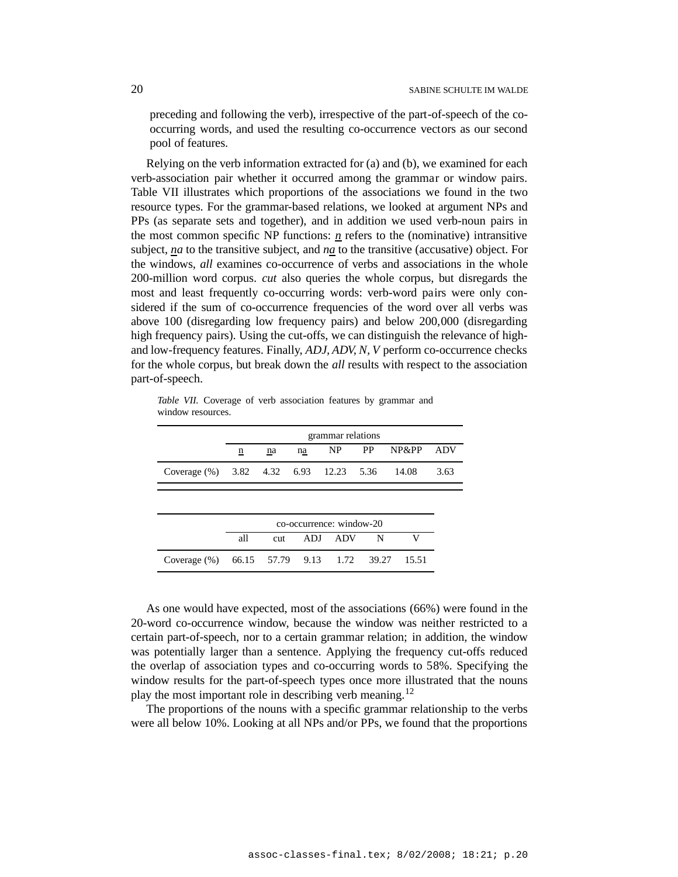preceding and following the verb), irrespective of the part-of-speech of the cooccurring words, and used the resulting co-occurrence vectors as our second pool of features.

Relying on the verb information extracted for (a) and (b), we examined for each verb-association pair whether it occurred among the grammar or window pairs. Table VII illustrates which proportions of the associations we found in the two resource types. For the grammar-based relations, we looked at argument NPs and PPs (as separate sets and together), and in addition we used verb-noun pairs in the most common specific NP functions:  $n$  refers to the (nominative) intransitive subject, *na* to the transitive subject, and *na* to the transitive (accusative) object. For the windows, *all* examines co-occurrence of verbs and associations in the whole 200-million word corpus. *cut* also queries the whole corpus, but disregards the most and least frequently co-occurring words: verb-word pairs were only considered if the sum of co-occurrence frequencies of the word over all verbs was above 100 (disregarding low frequency pairs) and below 200,000 (disregarding high frequency pairs). Using the cut-offs, we can distinguish the relevance of highand low-frequency features. Finally, *ADJ, ADV, N, V* perform co-occurrence checks for the whole corpus, but break down the *all* results with respect to the association part-of-speech.

*Table VII.* Coverage of verb association features by grammar and window resources.

| n            | na  | na | <b>NP</b>                                  | <b>PP</b>   | NP&PP                                                               | <b>ADV</b> |
|--------------|-----|----|--------------------------------------------|-------------|---------------------------------------------------------------------|------------|
|              |     |    | 12.23                                      | 5.36        | 14.08                                                               | 3.63       |
|              |     |    |                                            |             |                                                                     |            |
|              |     |    |                                            |             |                                                                     |            |
|              |     |    |                                            |             |                                                                     |            |
| all          | cut |    |                                            | N           | V                                                                   |            |
| Coverage (%) |     |    |                                            |             | 15.51                                                               |            |
|              |     |    | Coverage (%) 3.82 4.32 6.93<br>66.15 57.79 | ADJ<br>9.13 | grammar relations<br>co-occurrence: window-20<br><b>ADV</b><br>1.72 | 39.27      |

As one would have expected, most of the associations (66%) were found in the 20-word co-occurrence window, because the window was neither restricted to a certain part-of-speech, nor to a certain grammar relation; in addition, the window was potentially larger than a sentence. Applying the frequency cut-offs reduced the overlap of association types and co-occurring words to 58%. Specifying the window results for the part-of-speech types once more illustrated that the nouns play the most important role in describing verb meaning.<sup>12</sup>

The proportions of the nouns with a specific grammar relationship to the verbs were all below 10%. Looking at all NPs and/or PPs, we found that the proportions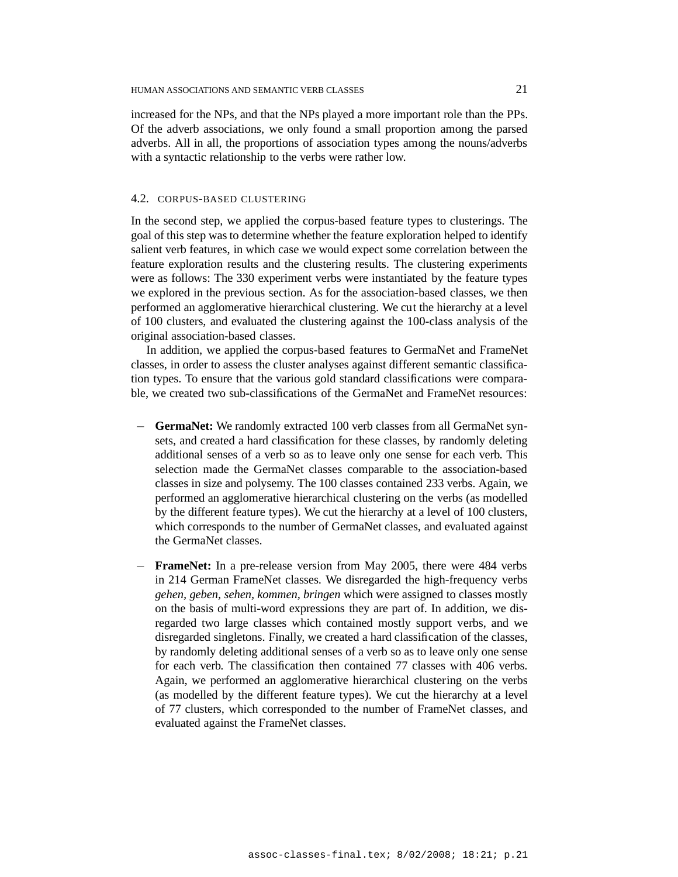increased for the NPs, and that the NPs played a more important role than the PPs. Of the adverb associations, we only found a small proportion among the parsed adverbs. All in all, the proportions of association types among the nouns/adverbs with a syntactic relationship to the verbs were rather low.

#### 4.2. CORPUS-BASED CLUSTERING

In the second step, we applied the corpus-based feature types to clusterings. The goal of this step was to determine whether the feature exploration helped to identify salient verb features, in which case we would expect some correlation between the feature exploration results and the clustering results. The clustering experiments were as follows: The 330 experiment verbs were instantiated by the feature types we explored in the previous section. As for the association-based classes, we then performed an agglomerative hierarchical clustering. We cut the hierarchy at a level of 100 clusters, and evaluated the clustering against the 100-class analysis of the original association-based classes.

In addition, we applied the corpus-based features to GermaNet and FrameNet classes, in order to assess the cluster analyses against different semantic classification types. To ensure that the various gold standard classifications were comparable, we created two sub-classifications of the GermaNet and FrameNet resources:

- − **GermaNet:** We randomly extracted 100 verb classes from all GermaNet synsets, and created a hard classification for these classes, by randomly deleting additional senses of a verb so as to leave only one sense for each verb. This selection made the GermaNet classes comparable to the association-based classes in size and polysemy. The 100 classes contained 233 verbs. Again, we performed an agglomerative hierarchical clustering on the verbs (as modelled by the different feature types). We cut the hierarchy at a level of 100 clusters, which corresponds to the number of GermaNet classes, and evaluated against the GermaNet classes.
- − **FrameNet:** In a pre-release version from May 2005, there were 484 verbs in 214 German FrameNet classes. We disregarded the high-frequency verbs *gehen, geben, sehen, kommen, bringen* which were assigned to classes mostly on the basis of multi-word expressions they are part of. In addition, we disregarded two large classes which contained mostly support verbs, and we disregarded singletons. Finally, we created a hard classification of the classes, by randomly deleting additional senses of a verb so as to leave only one sense for each verb. The classification then contained 77 classes with 406 verbs. Again, we performed an agglomerative hierarchical clustering on the verbs (as modelled by the different feature types). We cut the hierarchy at a level of 77 clusters, which corresponded to the number of FrameNet classes, and evaluated against the FrameNet classes.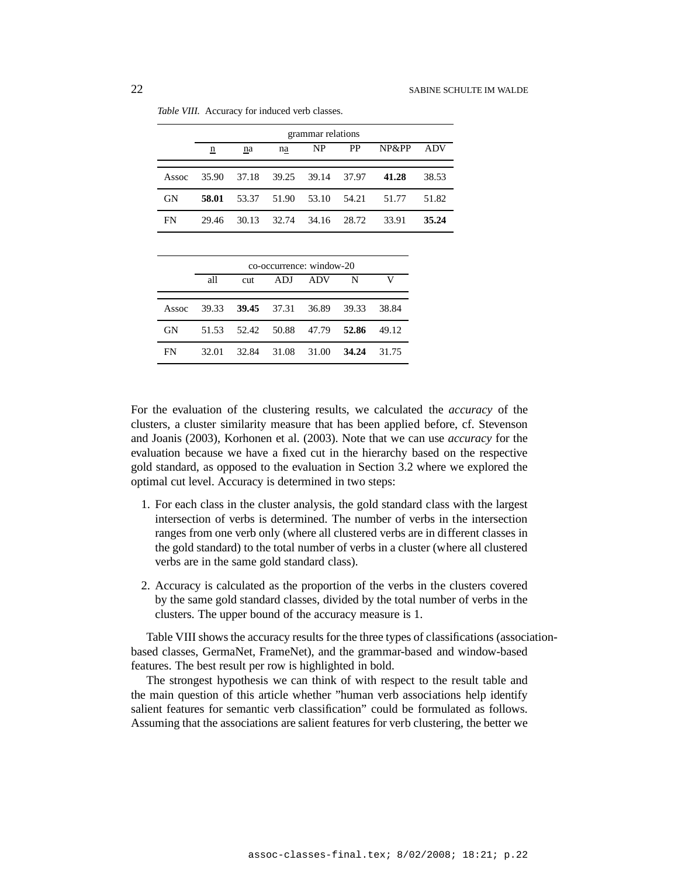|           | grammar relations |       |             |           |           |       |            |
|-----------|-------------------|-------|-------------|-----------|-----------|-------|------------|
|           | n                 | na    | na          | <b>NP</b> | <b>PP</b> | NP&PP | <b>ADV</b> |
|           |                   |       |             |           |           |       |            |
| Assoc     | 35.90             | 37.18 | 39.25       | 39.14     | 37.97     | 41.28 | 38.53      |
| <b>GN</b> | 58.01             |       | 53.37 51.90 | 53.10     | 54.21     | 51.77 | 51.82      |
| FN        | 29.46             | 30.13 | 32.74       | 34.16     | 28.72     | 33.91 | 35.24      |

*Table VIII.* Accuracy for induced verb classes.

|           | co-occurrence: window-20 |                               |                   |     |       |       |
|-----------|--------------------------|-------------------------------|-------------------|-----|-------|-------|
|           | all                      | cut                           | ADJ.              | ADV | N     |       |
|           |                          |                               |                   |     |       |       |
| Assoc     |                          | 39.33 39.45 37.31 36.89 39.33 |                   |     |       | 38.84 |
| <b>GN</b> |                          | 51.53 52.42 50.88 47.79 52.86 |                   |     |       | 49.12 |
| FN        | 32.01                    |                               | 32.84 31.08 31.00 |     | 34.24 | 31.75 |

For the evaluation of the clustering results, we calculated the *accuracy* of the clusters, a cluster similarity measure that has been applied before, cf. Stevenson and Joanis (2003), Korhonen et al. (2003). Note that we can use *accuracy* for the evaluation because we have a fixed cut in the hierarchy based on the respective gold standard, as opposed to the evaluation in Section 3.2 where we explored the optimal cut level. Accuracy is determined in two steps:

- 1. For each class in the cluster analysis, the gold standard class with the largest intersection of verbs is determined. The number of verbs in the intersection ranges from one verb only (where all clustered verbs are in different classes in the gold standard) to the total number of verbs in a cluster (where all clustered verbs are in the same gold standard class).
- 2. Accuracy is calculated as the proportion of the verbs in the clusters covered by the same gold standard classes, divided by the total number of verbs in the clusters. The upper bound of the accuracy measure is 1.

Table VIII shows the accuracy results for the three types of classifications (associationbased classes, GermaNet, FrameNet), and the grammar-based and window-based features. The best result per row is highlighted in bold.

The strongest hypothesis we can think of with respect to the result table and the main question of this article whether "human verb associations help identify salient features for semantic verb classification" could be formulated as follows. Assuming that the associations are salient features for verb clustering, the better we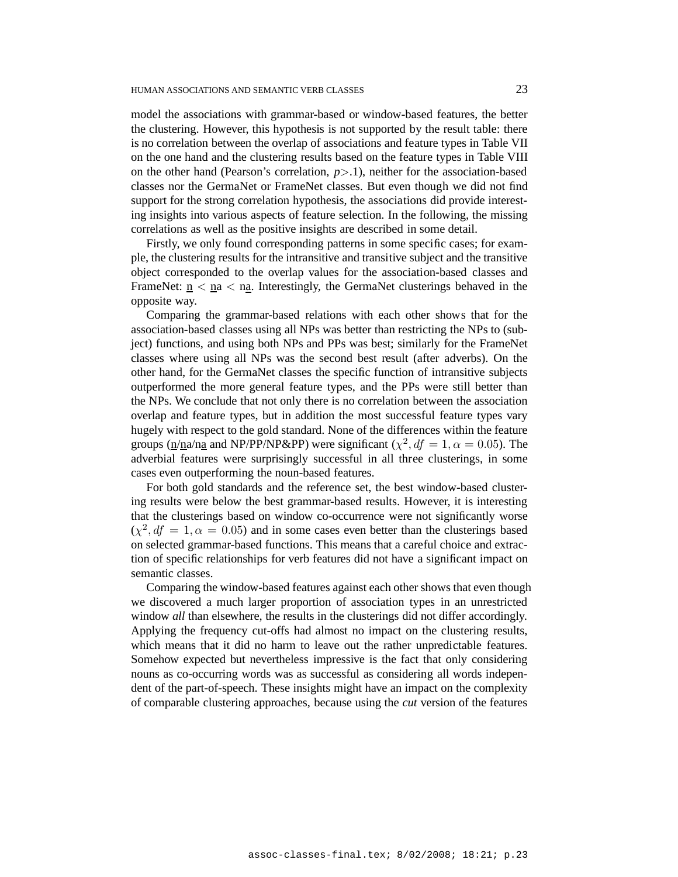model the associations with grammar-based or window-based features, the better the clustering. However, this hypothesis is not supported by the result table: there is no correlation between the overlap of associations and feature types in Table VII on the one hand and the clustering results based on the feature types in Table VIII on the other hand (Pearson's correlation,  $p > 1$ ), neither for the association-based classes nor the GermaNet or FrameNet classes. But even though we did not find support for the strong correlation hypothesis, the associations did provide interesting insights into various aspects of feature selection. In the following, the missing correlations as well as the positive insights are described in some detail.

Firstly, we only found corresponding patterns in some specific cases; for example, the clustering results for the intransitive and transitive subject and the transitive object corresponded to the overlap values for the association-based classes and FrameNet:  $n \leq na \leq na$ . Interestingly, the GermaNet clusterings behaved in the opposite way.

Comparing the grammar-based relations with each other shows that for the association-based classes using all NPs was better than restricting the NPs to (subject) functions, and using both NPs and PPs was best; similarly for the FrameNet classes where using all NPs was the second best result (after adverbs). On the other hand, for the GermaNet classes the specific function of intransitive subjects outperformed the more general feature types, and the PPs were still better than the NPs. We conclude that not only there is no correlation between the association overlap and feature types, but in addition the most successful feature types vary hugely with respect to the gold standard. None of the differences within the feature groups ( $\underline{n}/\underline{n}$ and NP/PP/NP&PP) were significant ( $\chi^2, df = 1, \alpha = 0.05$ ). The adverbial features were surprisingly successful in all three clusterings, in some cases even outperforming the noun-based features.

For both gold standards and the reference set, the best window-based clustering results were below the best grammar-based results. However, it is interesting that the clusterings based on window co-occurrence were not significantly worse  $(\chi^2, df = 1, \alpha = 0.05)$  and in some cases even better than the clusterings based on selected grammar-based functions. This means that a careful choice and extraction of specific relationships for verb features did not have a significant impact on semantic classes.

Comparing the window-based features against each other shows that even though we discovered a much larger proportion of association types in an unrestricted window *all* than elsewhere, the results in the clusterings did not differ accordingly. Applying the frequency cut-offs had almost no impact on the clustering results, which means that it did no harm to leave out the rather unpredictable features. Somehow expected but nevertheless impressive is the fact that only considering nouns as co-occurring words was as successful as considering all words independent of the part-of-speech. These insights might have an impact on the complexity of comparable clustering approaches, because using the *cut* version of the features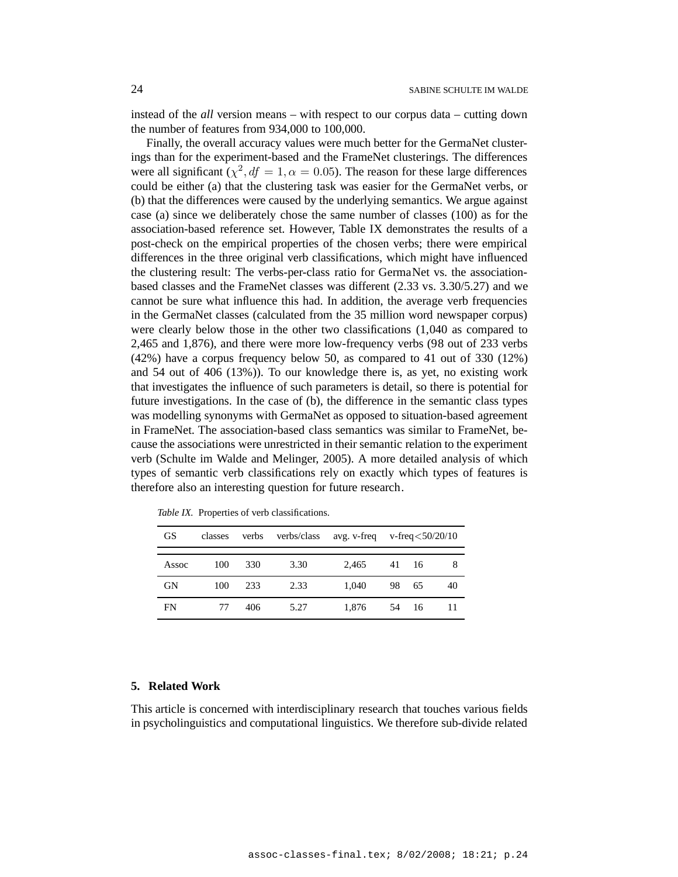instead of the *all* version means – with respect to our corpus data – cutting down the number of features from 934,000 to 100,000.

Finally, the overall accuracy values were much better for the GermaNet clusterings than for the experiment-based and the FrameNet clusterings. The differences were all significant  $(\chi^2, df = 1, \alpha = 0.05)$ . The reason for these large differences could be either (a) that the clustering task was easier for the GermaNet verbs, or (b) that the differences were caused by the underlying semantics. We argue against case (a) since we deliberately chose the same number of classes (100) as for the association-based reference set. However, Table IX demonstrates the results of a post-check on the empirical properties of the chosen verbs; there were empirical differences in the three original verb classifications, which might have influenced the clustering result: The verbs-per-class ratio for GermaNet vs. the associationbased classes and the FrameNet classes was different (2.33 vs. 3.30/5.27) and we cannot be sure what influence this had. In addition, the average verb frequencies in the GermaNet classes (calculated from the 35 million word newspaper corpus) were clearly below those in the other two classifications (1,040 as compared to 2,465 and 1,876), and there were more low-frequency verbs (98 out of 233 verbs (42%) have a corpus frequency below 50, as compared to 41 out of 330 (12%) and 54 out of 406 (13%)). To our knowledge there is, as yet, no existing work that investigates the influence of such parameters is detail, so there is potential for future investigations. In the case of (b), the difference in the semantic class types was modelling synonyms with GermaNet as opposed to situation-based agreement in FrameNet. The association-based class semantics was similar to FrameNet, because the associations were unrestricted in their semantic relation to the experiment verb (Schulte im Walde and Melinger, 2005). A more detailed analysis of which types of semantic verb classifications rely on exactly which types of features is therefore also an interesting question for future research.

| GS    | classes |     | verbs verbs/class avg. v-freq v-freq $\lt$ 50/20/10 |       |     |    |    |
|-------|---------|-----|-----------------------------------------------------|-------|-----|----|----|
| Assoc | 100     | 330 | 3.30                                                | 2,465 | 41  | 16 |    |
| GN    | 100     | 233 | 2.33                                                | 1.040 | 98. | 65 | 40 |
| FN    | 77      | 406 | 5.27                                                | 1,876 | 54  | 16 | 11 |

*Table IX.* Properties of verb classifications.

#### **5. Related Work**

This article is concerned with interdisciplinary research that touches various fields in psycholinguistics and computational linguistics. We therefore sub-divide related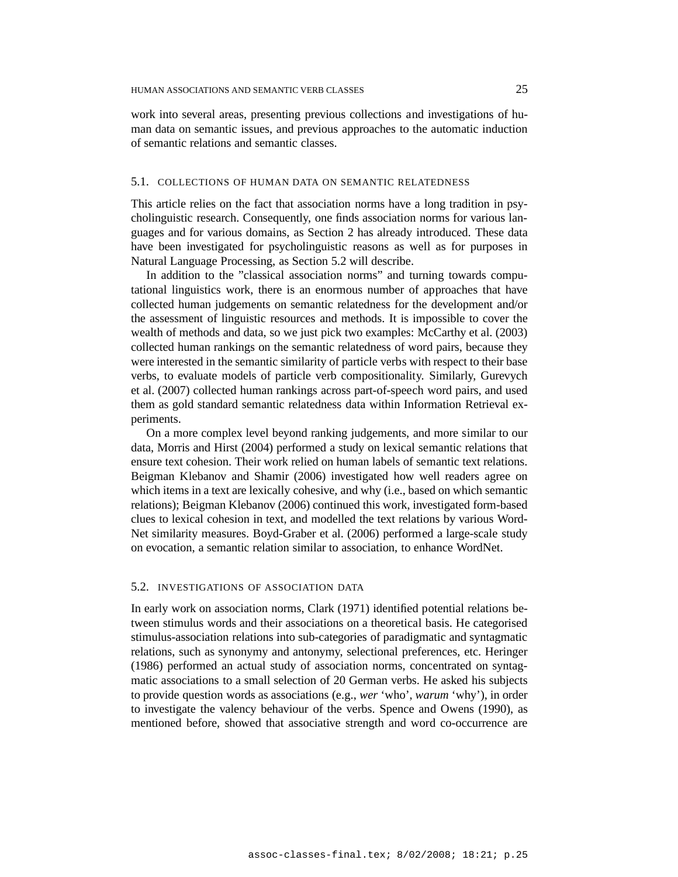work into several areas, presenting previous collections and investigations of human data on semantic issues, and previous approaches to the automatic induction of semantic relations and semantic classes.

## 5.1. COLLECTIONS OF HUMAN DATA ON SEMANTIC RELATEDNESS

This article relies on the fact that association norms have a long tradition in psycholinguistic research. Consequently, one finds association norms for various languages and for various domains, as Section 2 has already introduced. These data have been investigated for psycholinguistic reasons as well as for purposes in Natural Language Processing, as Section 5.2 will describe.

In addition to the "classical association norms" and turning towards computational linguistics work, there is an enormous number of approaches that have collected human judgements on semantic relatedness for the development and/or the assessment of linguistic resources and methods. It is impossible to cover the wealth of methods and data, so we just pick two examples: McCarthy et al. (2003) collected human rankings on the semantic relatedness of word pairs, because they were interested in the semantic similarity of particle verbs with respect to their base verbs, to evaluate models of particle verb compositionality. Similarly, Gurevych et al. (2007) collected human rankings across part-of-speech word pairs, and used them as gold standard semantic relatedness data within Information Retrieval experiments.

On a more complex level beyond ranking judgements, and more similar to our data, Morris and Hirst (2004) performed a study on lexical semantic relations that ensure text cohesion. Their work relied on human labels of semantic text relations. Beigman Klebanov and Shamir (2006) investigated how well readers agree on which items in a text are lexically cohesive, and why (i.e., based on which semantic relations); Beigman Klebanov (2006) continued this work, investigated form-based clues to lexical cohesion in text, and modelled the text relations by various Word-Net similarity measures. Boyd-Graber et al. (2006) performed a large-scale study on evocation, a semantic relation similar to association, to enhance WordNet.

#### 5.2. INVESTIGATIONS OF ASSOCIATION DATA

In early work on association norms, Clark (1971) identified potential relations between stimulus words and their associations on a theoretical basis. He categorised stimulus-association relations into sub-categories of paradigmatic and syntagmatic relations, such as synonymy and antonymy, selectional preferences, etc. Heringer (1986) performed an actual study of association norms, concentrated on syntagmatic associations to a small selection of 20 German verbs. He asked his subjects to provide question words as associations (e.g., *wer* 'who', *warum* 'why'), in order to investigate the valency behaviour of the verbs. Spence and Owens (1990), as mentioned before, showed that associative strength and word co-occurrence are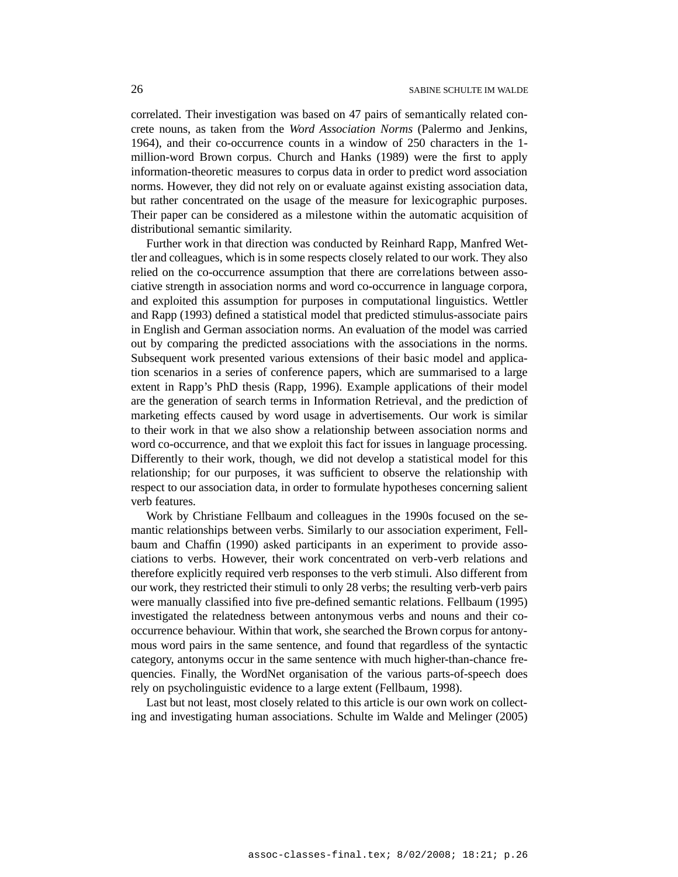correlated. Their investigation was based on 47 pairs of semantically related concrete nouns, as taken from the *Word Association Norms* (Palermo and Jenkins, 1964), and their co-occurrence counts in a window of 250 characters in the 1 million-word Brown corpus. Church and Hanks (1989) were the first to apply information-theoretic measures to corpus data in order to predict word association norms. However, they did not rely on or evaluate against existing association data, but rather concentrated on the usage of the measure for lexicographic purposes. Their paper can be considered as a milestone within the automatic acquisition of distributional semantic similarity.

Further work in that direction was conducted by Reinhard Rapp, Manfred Wettler and colleagues, which is in some respects closely related to our work. They also relied on the co-occurrence assumption that there are correlations between associative strength in association norms and word co-occurrence in language corpora, and exploited this assumption for purposes in computational linguistics. Wettler and Rapp (1993) defined a statistical model that predicted stimulus-associate pairs in English and German association norms. An evaluation of the model was carried out by comparing the predicted associations with the associations in the norms. Subsequent work presented various extensions of their basic model and application scenarios in a series of conference papers, which are summarised to a large extent in Rapp's PhD thesis (Rapp, 1996). Example applications of their model are the generation of search terms in Information Retrieval, and the prediction of marketing effects caused by word usage in advertisements. Our work is similar to their work in that we also show a relationship between association norms and word co-occurrence, and that we exploit this fact for issues in language processing. Differently to their work, though, we did not develop a statistical model for this relationship; for our purposes, it was sufficient to observe the relationship with respect to our association data, in order to formulate hypotheses concerning salient verb features.

Work by Christiane Fellbaum and colleagues in the 1990s focused on the semantic relationships between verbs. Similarly to our association experiment, Fellbaum and Chaffin (1990) asked participants in an experiment to provide associations to verbs. However, their work concentrated on verb-verb relations and therefore explicitly required verb responses to the verb stimuli. Also different from our work, they restricted their stimuli to only 28 verbs; the resulting verb-verb pairs were manually classified into five pre-defined semantic relations. Fellbaum (1995) investigated the relatedness between antonymous verbs and nouns and their cooccurrence behaviour. Within that work, she searched the Brown corpus for antonymous word pairs in the same sentence, and found that regardless of the syntactic category, antonyms occur in the same sentence with much higher-than-chance frequencies. Finally, the WordNet organisation of the various parts-of-speech does rely on psycholinguistic evidence to a large extent (Fellbaum, 1998).

Last but not least, most closely related to this article is our own work on collecting and investigating human associations. Schulte im Walde and Melinger (2005)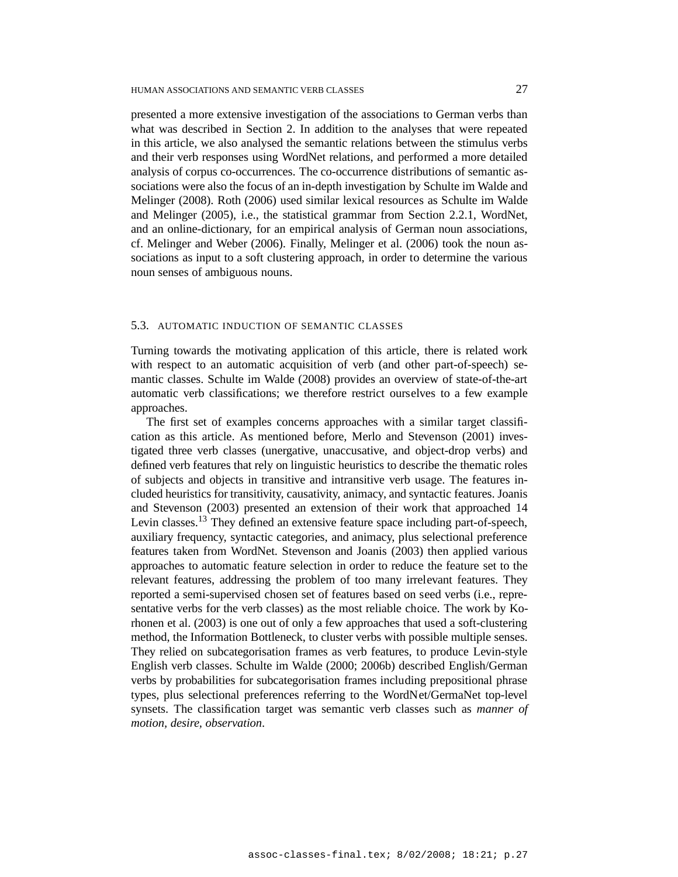presented a more extensive investigation of the associations to German verbs than what was described in Section 2. In addition to the analyses that were repeated in this article, we also analysed the semantic relations between the stimulus verbs and their verb responses using WordNet relations, and performed a more detailed analysis of corpus co-occurrences. The co-occurrence distributions of semantic associations were also the focus of an in-depth investigation by Schulte im Walde and Melinger (2008). Roth (2006) used similar lexical resources as Schulte im Walde and Melinger (2005), i.e., the statistical grammar from Section 2.2.1, WordNet, and an online-dictionary, for an empirical analysis of German noun associations, cf. Melinger and Weber (2006). Finally, Melinger et al. (2006) took the noun associations as input to a soft clustering approach, in order to determine the various noun senses of ambiguous nouns.

#### 5.3. AUTOMATIC INDUCTION OF SEMANTIC CLASSES

Turning towards the motivating application of this article, there is related work with respect to an automatic acquisition of verb (and other part-of-speech) semantic classes. Schulte im Walde (2008) provides an overview of state-of-the-art automatic verb classifications; we therefore restrict ourselves to a few example approaches.

The first set of examples concerns approaches with a similar target classification as this article. As mentioned before, Merlo and Stevenson (2001) investigated three verb classes (unergative, unaccusative, and object-drop verbs) and defined verb features that rely on linguistic heuristics to describe the thematic roles of subjects and objects in transitive and intransitive verb usage. The features included heuristics for transitivity, causativity, animacy, and syntactic features. Joanis and Stevenson (2003) presented an extension of their work that approached 14 Levin classes.<sup>13</sup> They defined an extensive feature space including part-of-speech, auxiliary frequency, syntactic categories, and animacy, plus selectional preference features taken from WordNet. Stevenson and Joanis (2003) then applied various approaches to automatic feature selection in order to reduce the feature set to the relevant features, addressing the problem of too many irrelevant features. They reported a semi-supervised chosen set of features based on seed verbs (i.e., representative verbs for the verb classes) as the most reliable choice. The work by Korhonen et al. (2003) is one out of only a few approaches that used a soft-clustering method, the Information Bottleneck, to cluster verbs with possible multiple senses. They relied on subcategorisation frames as verb features, to produce Levin-style English verb classes. Schulte im Walde (2000; 2006b) described English/German verbs by probabilities for subcategorisation frames including prepositional phrase types, plus selectional preferences referring to the WordNet/GermaNet top-level synsets. The classification target was semantic verb classes such as *manner of motion, desire, observation*.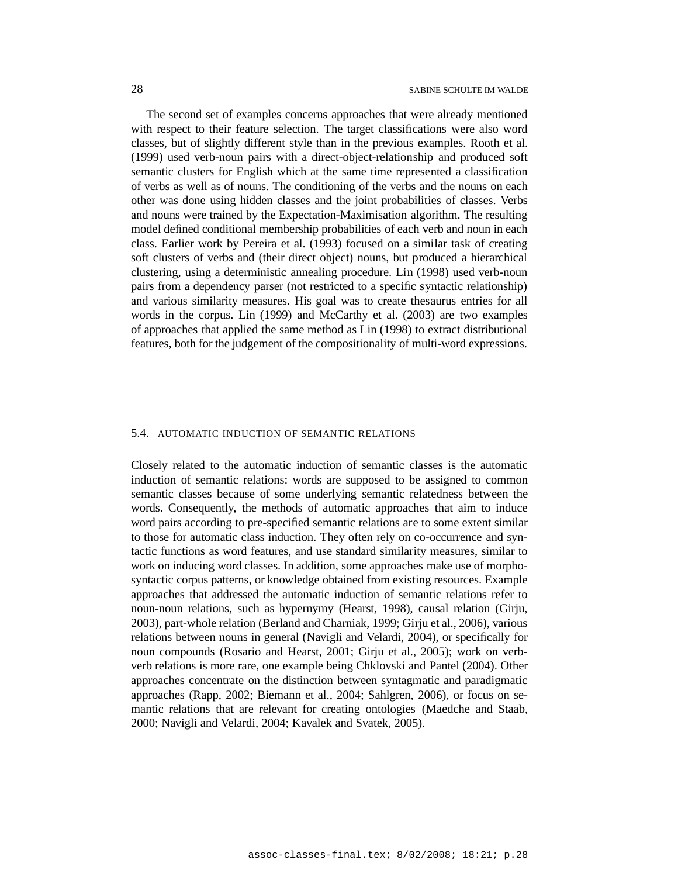The second set of examples concerns approaches that were already mentioned with respect to their feature selection. The target classifications were also word classes, but of slightly different style than in the previous examples. Rooth et al. (1999) used verb-noun pairs with a direct-object-relationship and produced soft semantic clusters for English which at the same time represented a classification of verbs as well as of nouns. The conditioning of the verbs and the nouns on each other was done using hidden classes and the joint probabilities of classes. Verbs and nouns were trained by the Expectation-Maximisation algorithm. The resulting model defined conditional membership probabilities of each verb and noun in each class. Earlier work by Pereira et al. (1993) focused on a similar task of creating soft clusters of verbs and (their direct object) nouns, but produced a hierarchical clustering, using a deterministic annealing procedure. Lin (1998) used verb-noun pairs from a dependency parser (not restricted to a specific syntactic relationship) and various similarity measures. His goal was to create thesaurus entries for all words in the corpus. Lin (1999) and McCarthy et al. (2003) are two examples of approaches that applied the same method as Lin (1998) to extract distributional features, both for the judgement of the compositionality of multi-word expressions.

## 5.4. AUTOMATIC INDUCTION OF SEMANTIC RELATIONS

Closely related to the automatic induction of semantic classes is the automatic induction of semantic relations: words are supposed to be assigned to common semantic classes because of some underlying semantic relatedness between the words. Consequently, the methods of automatic approaches that aim to induce word pairs according to pre-specified semantic relations are to some extent similar to those for automatic class induction. They often rely on co-occurrence and syntactic functions as word features, and use standard similarity measures, similar to work on inducing word classes. In addition, some approaches make use of morphosyntactic corpus patterns, or knowledge obtained from existing resources. Example approaches that addressed the automatic induction of semantic relations refer to noun-noun relations, such as hypernymy (Hearst, 1998), causal relation (Girju, 2003), part-whole relation (Berland and Charniak, 1999; Girju et al., 2006), various relations between nouns in general (Navigli and Velardi, 2004), or specifically for noun compounds (Rosario and Hearst, 2001; Girju et al., 2005); work on verbverb relations is more rare, one example being Chklovski and Pantel (2004). Other approaches concentrate on the distinction between syntagmatic and paradigmatic approaches (Rapp, 2002; Biemann et al., 2004; Sahlgren, 2006), or focus on semantic relations that are relevant for creating ontologies (Maedche and Staab, 2000; Navigli and Velardi, 2004; Kavalek and Svatek, 2005).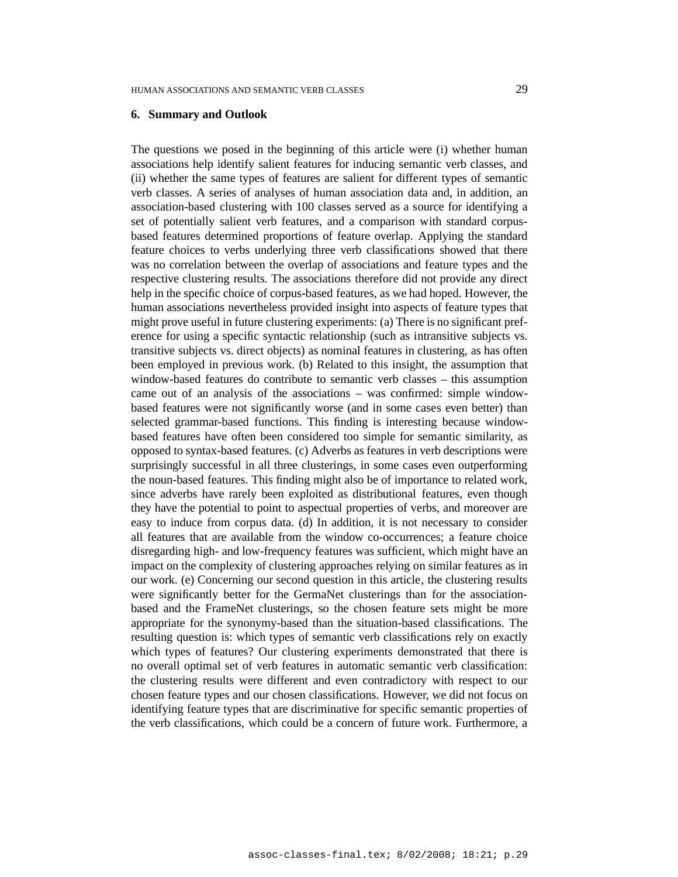## **6. Summary and Outlook**

The questions we posed in the beginning of this article were (i) whether human associations help identify salient features for inducing semantic verb classes, and (ii) whether the same types of features are salient for different types of semantic verb classes. A series of analyses of human association data and, in addition, an association-based clustering with 100 classes served as a source for identifying a set of potentially salient verb features, and a comparison with standard corpusbased features determined proportions of feature overlap. Applying the standard feature choices to verbs underlying three verb classifications showed that there was no correlation between the overlap of associations and feature types and the respective clustering results. The associations therefore did not provide any direct help in the specific choice of corpus-based features, as we had hoped. However, the human associations nevertheless provided insight into aspects of feature types that might prove useful in future clustering experiments: (a) There is no significant preference for using a specific syntactic relationship (such as intransitive subjects vs. transitive subjects vs. direct objects) as nominal features in clustering, as has often been employed in previous work. (b) Related to this insight, the assumption that window-based features do contribute to semantic verb classes – this assumption came out of an analysis of the associations – was confirmed: simple windowbased features were not significantly worse (and in some cases even better) than selected grammar-based functions. This finding is interesting because windowbased features have often been considered too simple for semantic similarity, as opposed to syntax-based features. (c) Adverbs as features in verb descriptions were surprisingly successful in all three clusterings, in some cases even outperforming the noun-based features. This finding might also be of importance to related work, since adverbs have rarely been exploited as distributional features, even though they have the potential to point to aspectual properties of verbs, and moreover are easy to induce from corpus data. (d) In addition, it is not necessary to consider all features that are available from the window co-occurrences; a feature choice disregarding high- and low-frequency features was sufficient, which might have an impact on the complexity of clustering approaches relying on similar features as in our work. (e) Concerning our second question in this article, the clustering results were significantly better for the GermaNet clusterings than for the associationbased and the FrameNet clusterings, so the chosen feature sets might be more appropriate for the synonymy-based than the situation-based classifications. The resulting question is: which types of semantic verb classifications rely on exactly which types of features? Our clustering experiments demonstrated that there is no overall optimal set of verb features in automatic semantic verb classification: the clustering results were different and even contradictory with respect to our chosen feature types and our chosen classifications. However, we did not focus on identifying feature types that are discriminative for specific semantic properties of the verb classifications, which could be a concern of future work. Furthermore, a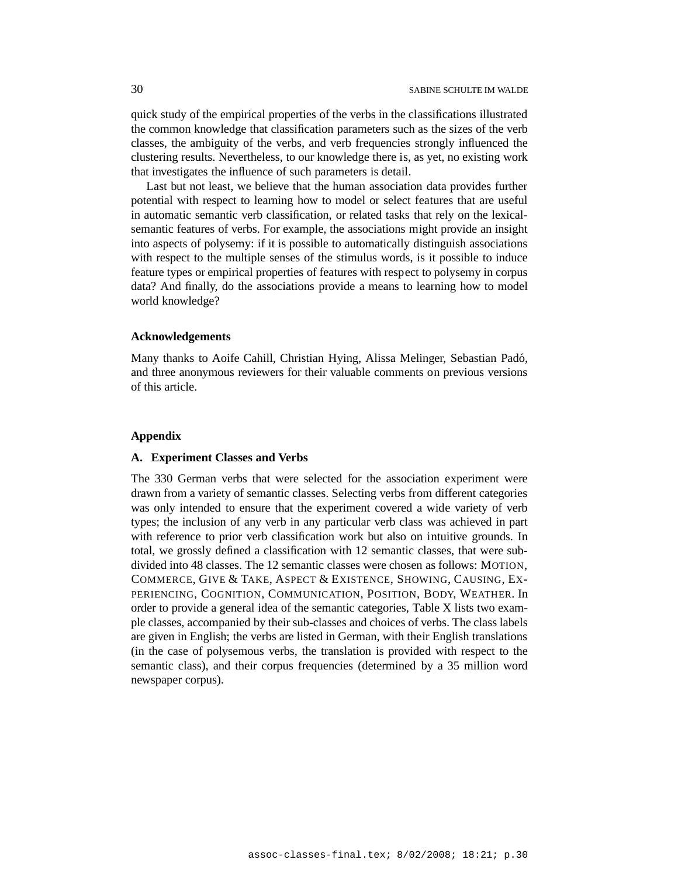quick study of the empirical properties of the verbs in the classifications illustrated the common knowledge that classification parameters such as the sizes of the verb classes, the ambiguity of the verbs, and verb frequencies strongly influenced the clustering results. Nevertheless, to our knowledge there is, as yet, no existing work that investigates the influence of such parameters is detail.

Last but not least, we believe that the human association data provides further potential with respect to learning how to model or select features that are useful in automatic semantic verb classification, or related tasks that rely on the lexicalsemantic features of verbs. For example, the associations might provide an insight into aspects of polysemy: if it is possible to automatically distinguish associations with respect to the multiple senses of the stimulus words, is it possible to induce feature types or empirical properties of features with respect to polysemy in corpus data? And finally, do the associations provide a means to learning how to model world knowledge?

## **Acknowledgements**

Many thanks to Aoife Cahill, Christian Hying, Alissa Melinger, Sebastian Padó, and three anonymous reviewers for their valuable comments on previous versions of this article.

#### **Appendix**

## **A. Experiment Classes and Verbs**

The 330 German verbs that were selected for the association experiment were drawn from a variety of semantic classes. Selecting verbs from different categories was only intended to ensure that the experiment covered a wide variety of verb types; the inclusion of any verb in any particular verb class was achieved in part with reference to prior verb classification work but also on intuitive grounds. In total, we grossly defined a classification with 12 semantic classes, that were subdivided into 48 classes. The 12 semantic classes were chosen as follows: MOTION, COMMERCE, GIVE & TAKE, ASPECT & EXISTENCE, SHOWING, CAUSING, EX-PERIENCING, COGNITION, COMMUNICATION, POSITION, BODY, WEATHER. In order to provide a general idea of the semantic categories, Table X lists two example classes, accompanied by their sub-classes and choices of verbs. The class labels are given in English; the verbs are listed in German, with their English translations (in the case of polysemous verbs, the translation is provided with respect to the semantic class), and their corpus frequencies (determined by a 35 million word newspaper corpus).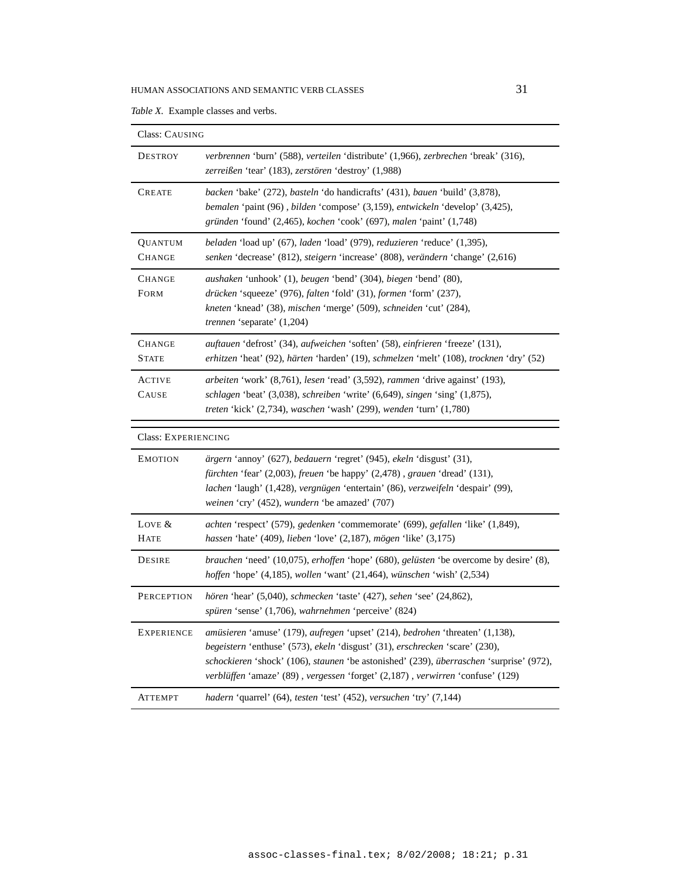| Class: CAUSING                  |                                                                                                                                                                                                                                                                                                                                                   |
|---------------------------------|---------------------------------------------------------------------------------------------------------------------------------------------------------------------------------------------------------------------------------------------------------------------------------------------------------------------------------------------------|
| <b>DESTROY</b>                  | verbrennen 'burn' (588), verteilen 'distribute' (1,966), zerbrechen 'break' (316),<br>zerreißen 'tear' (183), zerstören 'destroy' (1,988)                                                                                                                                                                                                         |
| <b>CREATE</b>                   | backen 'bake' (272), basteln 'do handicrafts' (431), bauen 'build' (3,878),<br>bemalen 'paint (96), bilden 'compose' (3,159), entwickeln 'develop' (3,425),<br>gründen 'found' (2,465), kochen 'cook' (697), malen 'paint' (1,748)                                                                                                                |
| <b>QUANTUM</b><br><b>CHANGE</b> | beladen 'load up' (67), laden 'load' (979), reduzieren 'reduce' (1,395),<br>senken 'decrease' (812), steigern 'increase' (808), verändern 'change' (2,616)                                                                                                                                                                                        |
| <b>CHANGE</b><br>FORM           | aushaken 'unhook' (1), beugen 'bend' (304), biegen 'bend' (80),<br>drücken 'squeeze' (976), falten 'fold' (31), formen 'form' (237),<br>kneten 'knead' (38), mischen 'merge' (509), schneiden 'cut' (284),<br>trennen 'separate' (1,204)                                                                                                          |
| <b>CHANGE</b><br><b>STATE</b>   | auftauen 'defrost' (34), aufweichen 'soften' (58), einfrieren 'freeze' (131),<br>erhitzen 'heat' (92), härten 'harden' (19), schmelzen 'melt' (108), trocknen 'dry' (52)                                                                                                                                                                          |
| <b>ACTIVE</b><br><b>CAUSE</b>   | arbeiten 'work' (8,761), lesen 'read' (3,592), rammen 'drive against' (193),<br>schlagen 'beat' (3,038), schreiben 'write' (6,649), singen 'sing' (1,875),<br>treten 'kick' (2,734), waschen 'wash' (299), wenden 'turn' (1,780)                                                                                                                  |
| <b>Class: EXPERIENCING</b>      |                                                                                                                                                                                                                                                                                                                                                   |
| <b>EMOTION</b>                  | ärgern 'annoy' (627), bedauern 'regret' (945), ekeln 'disgust' (31),<br>fürchten 'fear' (2,003), freuen 'be happy' (2,478), grauen 'dread' (131),<br>lachen 'laugh' (1,428), vergnügen 'entertain' (86), verzweifeln 'despair' (99),<br>weinen 'cry' (452), wundern 'be amazed' (707)                                                             |
| LOVE &<br><b>HATE</b>           | achten 'respect' (579), gedenken 'commemorate' (699), gefallen 'like' (1,849),<br>hassen 'hate' (409), lieben 'love' (2,187), mögen 'like' (3,175)                                                                                                                                                                                                |
| <b>DESIRE</b>                   | brauchen 'need' (10,075), erhoffen 'hope' (680), gelüsten 'be overcome by desire' (8),<br>hoffen 'hope' (4,185), wollen 'want' (21,464), wünschen 'wish' (2,534)                                                                                                                                                                                  |
| PERCEPTION                      | hören 'hear' (5,040), schmecken 'taste' (427), sehen 'see' (24,862),<br>spüren 'sense' (1,706), wahrnehmen 'perceive' (824)                                                                                                                                                                                                                       |
| <b>EXPERIENCE</b>               | <i>amüsieren 'amuse' (179), aufregen 'upset' (214), bedrohen 'threaten' (1,138),</i><br>begeistern 'enthuse' (573), ekeln 'disgust' (31), erschrecken 'scare' (230),<br>schockieren 'shock' (106), staunen 'be astonished' (239), überraschen 'surprise' (972),<br>verblüffen 'amaze' (89), vergessen 'forget' (2,187), verwirren 'confuse' (129) |
| <b>ATTEMPT</b>                  | hadern 'quarrel' (64), testen 'test' (452), versuchen 'try' (7,144)                                                                                                                                                                                                                                                                               |

*Table X.* Example classes and verbs.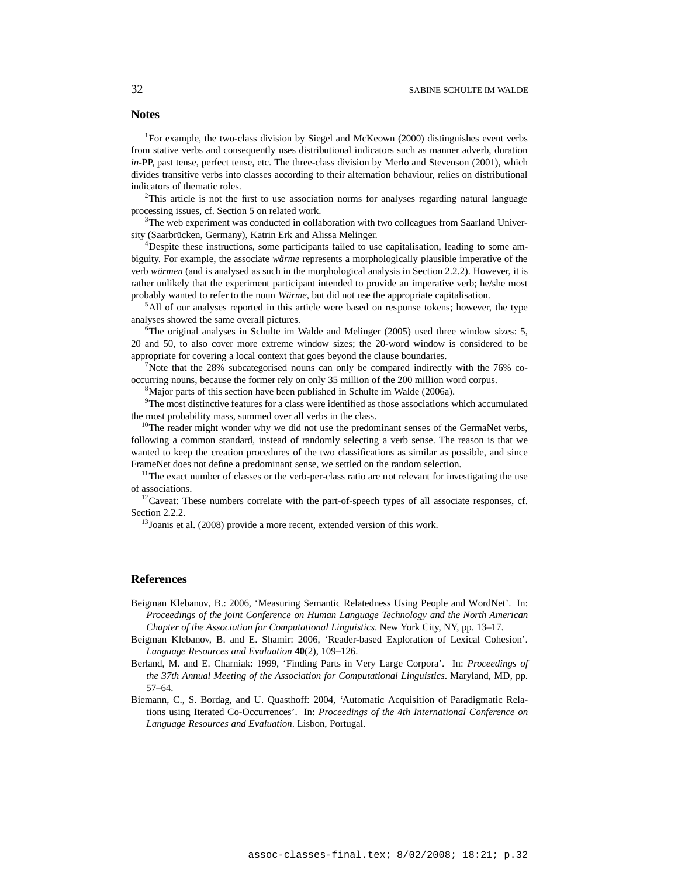## **Notes**

<sup>1</sup>For example, the two-class division by Siegel and McKeown (2000) distinguishes event verbs from stative verbs and consequently uses distributional indicators such as manner adverb, duration *in*-PP, past tense, perfect tense, etc. The three-class division by Merlo and Stevenson (2001), which divides transitive verbs into classes according to their alternation behaviour, relies on distributional indicators of thematic roles.

 $2$ This article is not the first to use association norms for analyses regarding natural language processing issues, cf. Section 5 on related work.

<sup>3</sup>The web experiment was conducted in collaboration with two colleagues from Saarland University (Saarbrücken, Germany), Katrin Erk and Alissa Melinger.

<sup>4</sup>Despite these instructions, some participants failed to use capitalisation, leading to some ambiguity. For example, the associate wärme represents a morphologically plausible imperative of the verb *wärmen* (and is analysed as such in the morphological analysis in Section 2.2.2). However, it is rather unlikely that the experiment participant intended to provide an imperative verb; he/she most probably wanted to refer to the noun *Wärme*, but did not use the appropriate capitalisation.

<sup>5</sup>All of our analyses reported in this article were based on response tokens; however, the type analyses showed the same overall pictures.

 $6$ The original analyses in Schulte im Walde and Melinger (2005) used three window sizes: 5, 20 and 50, to also cover more extreme window sizes; the 20-word window is considered to be appropriate for covering a local context that goes beyond the clause boundaries.

<sup>7</sup>Note that the 28% subcategorised nouns can only be compared indirectly with the 76% cooccurring nouns, because the former rely on only 35 million of the 200 million word corpus.

 ${}^{8}$ Major parts of this section have been published in Schulte im Walde (2006a).

<sup>9</sup>The most distinctive features for a class were identified as those associations which accumulated the most probability mass, summed over all verbs in the class.

 $10$ The reader might wonder why we did not use the predominant senses of the GermaNet verbs, following a common standard, instead of randomly selecting a verb sense. The reason is that we wanted to keep the creation procedures of the two classifications as similar as possible, and since FrameNet does not define a predominant sense, we settled on the random selection.

 $11$ The exact number of classes or the verb-per-class ratio are not relevant for investigating the use of associations.

<sup>12</sup>Caveat: These numbers correlate with the part-of-speech types of all associate responses, cf. Section 2.2.2.

 $13$  Joanis et al. (2008) provide a more recent, extended version of this work.

#### **References**

Beigman Klebanov, B.: 2006, 'Measuring Semantic Relatedness Using People and WordNet'. In: *Proceedings of the joint Conference on Human Language Technology and the North American Chapter of the Association for Computational Linguistics*. New York City, NY, pp. 13–17.

Beigman Klebanov, B. and E. Shamir: 2006, 'Reader-based Exploration of Lexical Cohesion'. *Language Resources and Evaluation* **40**(2), 109–126.

Berland, M. and E. Charniak: 1999, 'Finding Parts in Very Large Corpora'. In: *Proceedings of the 37th Annual Meeting of the Association for Computational Linguistics*. Maryland, MD, pp. 57–64.

Biemann, C., S. Bordag, and U. Quasthoff: 2004, 'Automatic Acquisition of Paradigmatic Relations using Iterated Co-Occurrences'. In: *Proceedings of the 4th International Conference on Language Resources and Evaluation*. Lisbon, Portugal.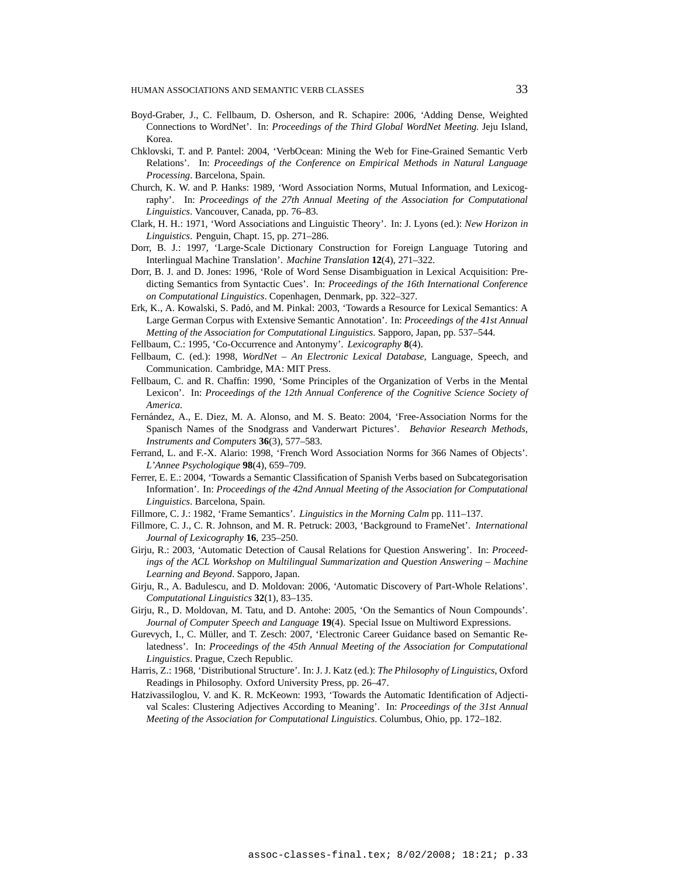- Boyd-Graber, J., C. Fellbaum, D. Osherson, and R. Schapire: 2006, 'Adding Dense, Weighted Connections to WordNet'. In: *Proceedings of the Third Global WordNet Meeting*. Jeju Island, Korea.
- Chklovski, T. and P. Pantel: 2004, 'VerbOcean: Mining the Web for Fine-Grained Semantic Verb Relations'. In: *Proceedings of the Conference on Empirical Methods in Natural Language Processing*. Barcelona, Spain.
- Church, K. W. and P. Hanks: 1989, 'Word Association Norms, Mutual Information, and Lexicography'. In: *Proceedings of the 27th Annual Meeting of the Association for Computational Linguistics*. Vancouver, Canada, pp. 76–83.
- Clark, H. H.: 1971, 'Word Associations and Linguistic Theory'. In: J. Lyons (ed.): *New Horizon in Linguistics*. Penguin, Chapt. 15, pp. 271–286.
- Dorr, B. J.: 1997, 'Large-Scale Dictionary Construction for Foreign Language Tutoring and Interlingual Machine Translation'. *Machine Translation* **12**(4), 271–322.
- Dorr, B. J. and D. Jones: 1996, 'Role of Word Sense Disambiguation in Lexical Acquisition: Predicting Semantics from Syntactic Cues'. In: *Proceedings of the 16th International Conference on Computational Linguistics*. Copenhagen, Denmark, pp. 322–327.
- Erk, K., A. Kowalski, S. Padó, and M. Pinkal: 2003, 'Towards a Resource for Lexical Semantics: A Large German Corpus with Extensive Semantic Annotation'. In: *Proceedings of the 41st Annual Metting of the Association for Computational Linguistics*. Sapporo, Japan, pp. 537–544.
- Fellbaum, C.: 1995, 'Co-Occurrence and Antonymy'. *Lexicography* **8**(4).
- Fellbaum, C. (ed.): 1998, *WordNet An Electronic Lexical Database*, Language, Speech, and Communication. Cambridge, MA: MIT Press.
- Fellbaum, C. and R. Chaffin: 1990, 'Some Principles of the Organization of Verbs in the Mental Lexicon'. In: *Proceedings of the 12th Annual Conference of the Cognitive Science Society of America*.
- Fernández, A., E. Diez, M. A. Alonso, and M. S. Beato: 2004, 'Free-Association Norms for the Spanisch Names of the Snodgrass and Vanderwart Pictures'. *Behavior Research Methods, Instruments and Computers* **36**(3), 577–583.
- Ferrand, L. and F.-X. Alario: 1998, 'French Word Association Norms for 366 Names of Objects'. *L'Annee Psychologique* **98**(4), 659–709.
- Ferrer, E. E.: 2004, 'Towards a Semantic Classification of Spanish Verbs based on Subcategorisation Information'. In: *Proceedings of the 42nd Annual Meeting of the Association for Computational Linguistics*. Barcelona, Spain.
- Fillmore, C. J.: 1982, 'Frame Semantics'. *Linguistics in the Morning Calm* pp. 111–137.
- Fillmore, C. J., C. R. Johnson, and M. R. Petruck: 2003, 'Background to FrameNet'. *International Journal of Lexicography* **16**, 235–250.
- Girju, R.: 2003, 'Automatic Detection of Causal Relations for Question Answering'. In: *Proceedings of the ACL Workshop on Multilingual Summarization and Question Answering – Machine Learning and Beyond*. Sapporo, Japan.
- Girju, R., A. Badulescu, and D. Moldovan: 2006, 'Automatic Discovery of Part-Whole Relations'. *Computational Linguistics* **32**(1), 83–135.
- Girju, R., D. Moldovan, M. Tatu, and D. Antohe: 2005, 'On the Semantics of Noun Compounds'. *Journal of Computer Speech and Language* **19**(4). Special Issue on Multiword Expressions.
- Gurevych, I., C. Müller, and T. Zesch: 2007, 'Electronic Career Guidance based on Semantic Relatedness'. In: *Proceedings of the 45th Annual Meeting of the Association for Computational Linguistics*. Prague, Czech Republic.
- Harris, Z.: 1968, 'Distributional Structure'. In: J. J. Katz (ed.): *The Philosophy of Linguistics*, Oxford Readings in Philosophy. Oxford University Press, pp. 26–47.
- Hatzivassiloglou, V. and K. R. McKeown: 1993, 'Towards the Automatic Identification of Adjectival Scales: Clustering Adjectives According to Meaning'. In: *Proceedings of the 31st Annual Meeting of the Association for Computational Linguistics*. Columbus, Ohio, pp. 172–182.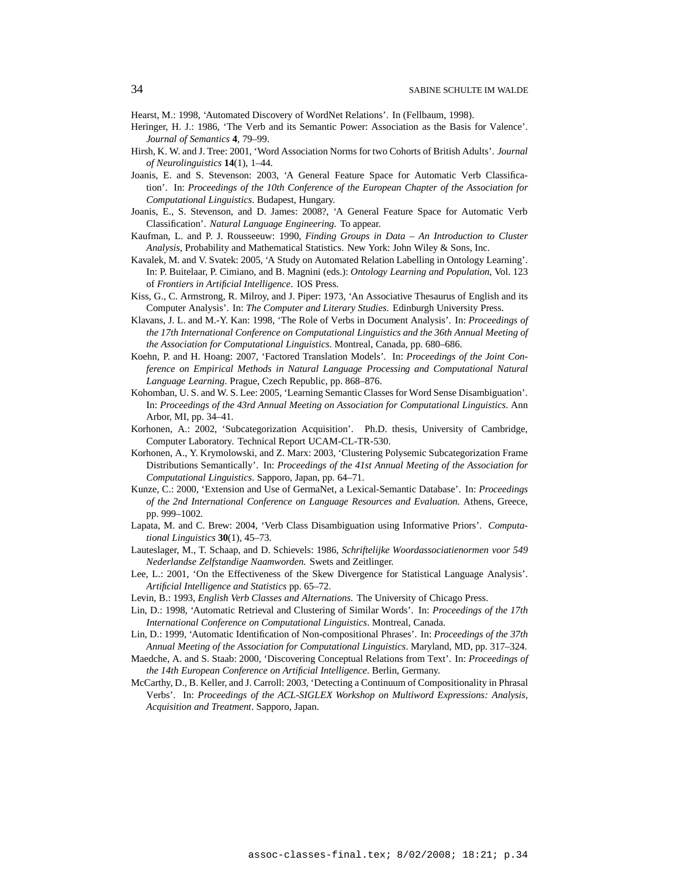Hearst, M.: 1998, 'Automated Discovery of WordNet Relations'. In (Fellbaum, 1998).

- Heringer, H. J.: 1986, 'The Verb and its Semantic Power: Association as the Basis for Valence'. *Journal of Semantics* **4**, 79–99.
- Hirsh, K. W. and J. Tree: 2001, 'Word Association Norms for two Cohorts of British Adults'. *Journal of Neurolinguistics* **14**(1), 1–44.
- Joanis, E. and S. Stevenson: 2003, 'A General Feature Space for Automatic Verb Classification'. In: *Proceedings of the 10th Conference of the European Chapter of the Association for Computational Linguistics*. Budapest, Hungary.
- Joanis, E., S. Stevenson, and D. James: 2008?, 'A General Feature Space for Automatic Verb Classification'. *Natural Language Engineering*. To appear.
- Kaufman, L. and P. J. Rousseeuw: 1990, *Finding Groups in Data An Introduction to Cluster Analysis*, Probability and Mathematical Statistics. New York: John Wiley & Sons, Inc.
- Kavalek, M. and V. Svatek: 2005, 'A Study on Automated Relation Labelling in Ontology Learning'. In: P. Buitelaar, P. Cimiano, and B. Magnini (eds.): *Ontology Learning and Population*, Vol. 123 of *Frontiers in Artificial Intelligence*. IOS Press.
- Kiss, G., C. Armstrong, R. Milroy, and J. Piper: 1973, 'An Associative Thesaurus of English and its Computer Analysis'. In: *The Computer and Literary Studies*. Edinburgh University Press.
- Klavans, J. L. and M.-Y. Kan: 1998, 'The Role of Verbs in Document Analysis'. In: *Proceedings of the 17th International Conference on Computational Linguistics and the 36th Annual Meeting of the Association for Computational Linguistics*. Montreal, Canada, pp. 680–686.
- Koehn, P. and H. Hoang: 2007, 'Factored Translation Models'. In: *Proceedings of the Joint Conference on Empirical Methods in Natural Language Processing and Computational Natural Language Learning*. Prague, Czech Republic, pp. 868–876.
- Kohomban, U. S. and W. S. Lee: 2005, 'Learning Semantic Classes for Word Sense Disambiguation'. In: *Proceedings of the 43rd Annual Meeting on Association for Computational Linguistics*. Ann Arbor, MI, pp. 34–41.
- Korhonen, A.: 2002, 'Subcategorization Acquisition'. Ph.D. thesis, University of Cambridge, Computer Laboratory. Technical Report UCAM-CL-TR-530.
- Korhonen, A., Y. Krymolowski, and Z. Marx: 2003, 'Clustering Polysemic Subcategorization Frame Distributions Semantically'. In: *Proceedings of the 41st Annual Meeting of the Association for Computational Linguistics*. Sapporo, Japan, pp. 64–71.
- Kunze, C.: 2000, 'Extension and Use of GermaNet, a Lexical-Semantic Database'. In: *Proceedings of the 2nd International Conference on Language Resources and Evaluation*. Athens, Greece, pp. 999–1002.
- Lapata, M. and C. Brew: 2004, 'Verb Class Disambiguation using Informative Priors'. *Computational Linguistics* **30**(1), 45–73.
- Lauteslager, M., T. Schaap, and D. Schievels: 1986, *Schriftelijke Woordassociatienormen voor 549 Nederlandse Zelfstandige Naamworden*. Swets and Zeitlinger.
- Lee, L.: 2001, 'On the Effectiveness of the Skew Divergence for Statistical Language Analysis'. *Artificial Intelligence and Statistics* pp. 65–72.

Levin, B.: 1993, *English Verb Classes and Alternations*. The University of Chicago Press.

- Lin, D.: 1998, 'Automatic Retrieval and Clustering of Similar Words'. In: *Proceedings of the 17th International Conference on Computational Linguistics*. Montreal, Canada.
- Lin, D.: 1999, 'Automatic Identification of Non-compositional Phrases'. In: *Proceedings of the 37th Annual Meeting of the Association for Computational Linguistics*. Maryland, MD, pp. 317–324.
- Maedche, A. and S. Staab: 2000, 'Discovering Conceptual Relations from Text'. In: *Proceedings of the 14th European Conference on Artificial Intelligence*. Berlin, Germany.
- McCarthy, D., B. Keller, and J. Carroll: 2003, 'Detecting a Continuum of Compositionality in Phrasal Verbs'. In: *Proceedings of the ACL-SIGLEX Workshop on Multiword Expressions: Analysis, Acquisition and Treatment*. Sapporo, Japan.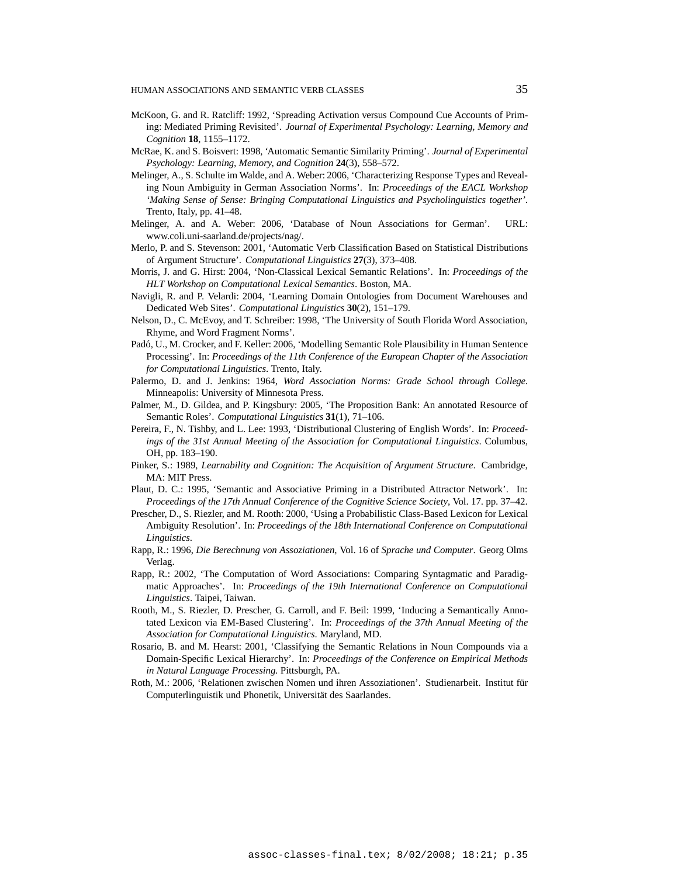- McKoon, G. and R. Ratcliff: 1992, 'Spreading Activation versus Compound Cue Accounts of Priming: Mediated Priming Revisited'. *Journal of Experimental Psychology: Learning, Memory and Cognition* **18**, 1155–1172.
- McRae, K. and S. Boisvert: 1998, 'Automatic Semantic Similarity Priming'. *Journal of Experimental Psychology: Learning, Memory, and Cognition* **24**(3), 558–572.
- Melinger, A., S. Schulte im Walde, and A. Weber: 2006, 'Characterizing Response Types and Revealing Noun Ambiguity in German Association Norms'. In: *Proceedings of the EACL Workshop 'Making Sense of Sense: Bringing Computational Linguistics and Psycholinguistics together'*. Trento, Italy, pp. 41–48.
- Melinger, A. and A. Weber: 2006, 'Database of Noun Associations for German'. URL: www.coli.uni-saarland.de/projects/nag/.
- Merlo, P. and S. Stevenson: 2001, 'Automatic Verb Classification Based on Statistical Distributions of Argument Structure'. *Computational Linguistics* **27**(3), 373–408.
- Morris, J. and G. Hirst: 2004, 'Non-Classical Lexical Semantic Relations'. In: *Proceedings of the HLT Workshop on Computational Lexical Semantics*. Boston, MA.
- Navigli, R. and P. Velardi: 2004, 'Learning Domain Ontologies from Document Warehouses and Dedicated Web Sites'. *Computational Linguistics* **30**(2), 151–179.
- Nelson, D., C. McEvoy, and T. Schreiber: 1998, 'The University of South Florida Word Association, Rhyme, and Word Fragment Norms'.
- Padó, U., M. Crocker, and F. Keller: 2006, 'Modelling Semantic Role Plausibility in Human Sentence Processing'. In: *Proceedings of the 11th Conference of the European Chapter of the Association for Computational Linguistics*. Trento, Italy.
- Palermo, D. and J. Jenkins: 1964, *Word Association Norms: Grade School through College*. Minneapolis: University of Minnesota Press.
- Palmer, M., D. Gildea, and P. Kingsbury: 2005, 'The Proposition Bank: An annotated Resource of Semantic Roles'. *Computational Linguistics* **31**(1), 71–106.
- Pereira, F., N. Tishby, and L. Lee: 1993, 'Distributional Clustering of English Words'. In: *Proceedings of the 31st Annual Meeting of the Association for Computational Linguistics*. Columbus, OH, pp. 183–190.
- Pinker, S.: 1989, *Learnability and Cognition: The Acquisition of Argument Structure*. Cambridge, MA: MIT Press.
- Plaut, D. C.: 1995, 'Semantic and Associative Priming in a Distributed Attractor Network'. In: *Proceedings of the 17th Annual Conference of the Cognitive Science Society*, Vol. 17. pp. 37–42.
- Prescher, D., S. Riezler, and M. Rooth: 2000, 'Using a Probabilistic Class-Based Lexicon for Lexical Ambiguity Resolution'. In: *Proceedings of the 18th International Conference on Computational Linguistics*.
- Rapp, R.: 1996, *Die Berechnung von Assoziationen*, Vol. 16 of *Sprache und Computer*. Georg Olms Verlag.
- Rapp, R.: 2002, 'The Computation of Word Associations: Comparing Syntagmatic and Paradigmatic Approaches'. In: *Proceedings of the 19th International Conference on Computational Linguistics*. Taipei, Taiwan.
- Rooth, M., S. Riezler, D. Prescher, G. Carroll, and F. Beil: 1999, 'Inducing a Semantically Annotated Lexicon via EM-Based Clustering'. In: *Proceedings of the 37th Annual Meeting of the Association for Computational Linguistics*. Maryland, MD.
- Rosario, B. and M. Hearst: 2001, 'Classifying the Semantic Relations in Noun Compounds via a Domain-Specific Lexical Hierarchy'. In: *Proceedings of the Conference on Empirical Methods in Natural Language Processing*. Pittsburgh, PA.
- Roth, M.: 2006, 'Relationen zwischen Nomen und ihren Assoziationen'. Studienarbeit. Institut für Computerlinguistik und Phonetik, Universität des Saarlandes.